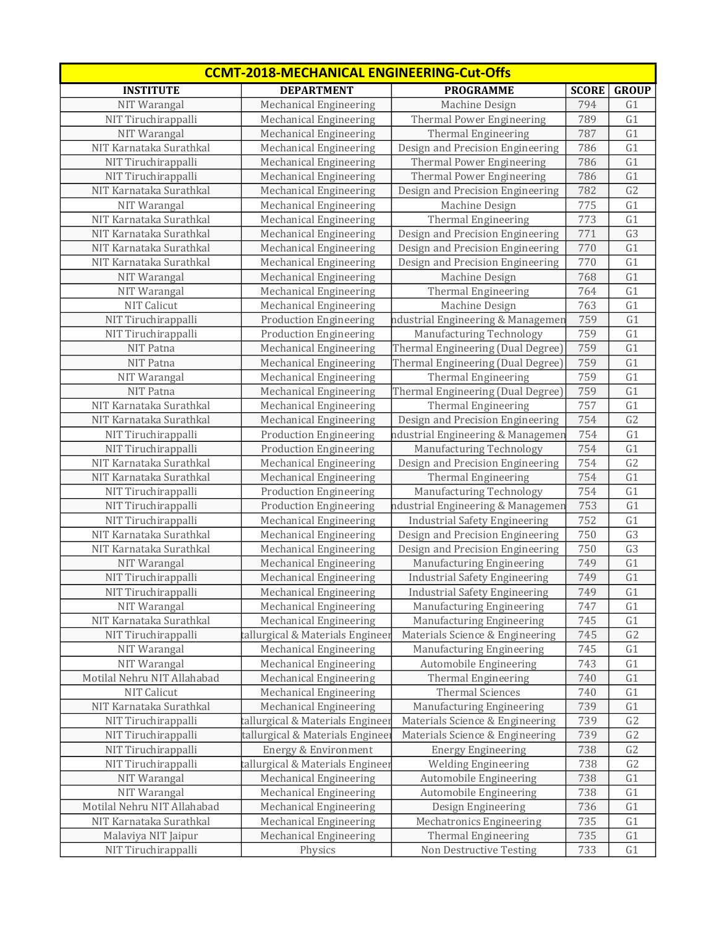| <b>CCMT-2018-MECHANICAL ENGINEERING-Cut-Offs</b> |                                  |                                      |              |                 |
|--------------------------------------------------|----------------------------------|--------------------------------------|--------------|-----------------|
| <b>INSTITUTE</b>                                 | <b>DEPARTMENT</b>                | <b>PROGRAMME</b>                     | <b>SCORE</b> | <b>GROUP</b>    |
| NIT Warangal                                     | <b>Mechanical Engineering</b>    | Machine Design                       | 794          | G1              |
| NIT Tiruchirappalli                              | Mechanical Engineering           | Thermal Power Engineering            | 789          | G1              |
| NIT Warangal                                     | Mechanical Engineering           | Thermal Engineering                  | 787          | G1              |
| NIT Karnataka Surathkal                          | Mechanical Engineering           | Design and Precision Engineering     | 786          | G1              |
| NIT Tiruchirappalli                              | <b>Mechanical Engineering</b>    | Thermal Power Engineering            | 786          | G1              |
| NIT Tiruchirappalli                              | Mechanical Engineering           | Thermal Power Engineering            | 786          | G1              |
| NIT Karnataka Surathkal                          | Mechanical Engineering           | Design and Precision Engineering     | 782          | G <sub>2</sub>  |
| NIT Warangal                                     | Mechanical Engineering           | Machine Design                       | 775          | G1              |
| NIT Karnataka Surathkal                          | Mechanical Engineering           | Thermal Engineering                  | 773          | G1              |
| NIT Karnataka Surathkal                          | Mechanical Engineering           | Design and Precision Engineering     | 771          | G <sub>3</sub>  |
| NIT Karnataka Surathkal                          | <b>Mechanical Engineering</b>    | Design and Precision Engineering     | 770          | G1              |
| NIT Karnataka Surathkal                          | Mechanical Engineering           | Design and Precision Engineering     | 770          | G1              |
| NIT Warangal                                     | Mechanical Engineering           | Machine Design                       | 768          | G1              |
| NIT Warangal                                     | Mechanical Engineering           | Thermal Engineering                  | 764          | G1              |
| <b>NIT Calicut</b>                               | Mechanical Engineering           | Machine Design                       | 763          | G1              |
| NIT Tiruchirappalli                              | <b>Production Engineering</b>    | ndustrial Engineering & Managemer    | 759          | G1              |
| NIT Tiruchirappalli                              | <b>Production Engineering</b>    | Manufacturing Technology             | 759          | G1              |
| NIT Patna                                        | Mechanical Engineering           | Thermal Engineering (Dual Degree)    | 759          | G1              |
| NIT Patna                                        | <b>Mechanical Engineering</b>    | Thermal Engineering (Dual Degree)    | 759          | G1              |
| NIT Warangal                                     | Mechanical Engineering           | Thermal Engineering                  | 759          | G1              |
| NIT Patna                                        | Mechanical Engineering           | Thermal Engineering (Dual Degree)    | 759          | G1              |
| NIT Karnataka Surathkal                          | <b>Mechanical Engineering</b>    | Thermal Engineering                  | 757          | G1              |
| NIT Karnataka Surathkal                          | <b>Mechanical Engineering</b>    | Design and Precision Engineering     | 754          | G <sub>2</sub>  |
| NIT Tiruchirappalli                              | <b>Production Engineering</b>    | ndustrial Engineering & Managemer    | 754          | G1              |
| NIT Tiruchirappalli                              | <b>Production Engineering</b>    | Manufacturing Technology             | 754          | $\overline{G1}$ |
| NIT Karnataka Surathkal                          | Mechanical Engineering           | Design and Precision Engineering     | 754          | G <sub>2</sub>  |
| NIT Karnataka Surathkal                          | Mechanical Engineering           | <b>Thermal Engineering</b>           | 754          | $\overline{G1}$ |
| NIT Tiruchirappalli                              | <b>Production Engineering</b>    | Manufacturing Technology             | 754          | $\overline{G1}$ |
| NIT Tiruchirappalli                              | <b>Production Engineering</b>    | ndustrial Engineering & Managemer    | 753          | G1              |
| NIT Tiruchirappalli                              | <b>Mechanical Engineering</b>    | <b>Industrial Safety Engineering</b> | 752          | G1              |
| NIT Karnataka Surathkal                          | Mechanical Engineering           | Design and Precision Engineering     | 750          | G <sub>3</sub>  |
| NIT Karnataka Surathkal                          | Mechanical Engineering           | Design and Precision Engineering     | 750          | G3              |
| NIT Warangal                                     | <b>Mechanical Engineering</b>    | Manufacturing Engineering            | 749          | G1              |
| NIT Tiruchirappalli                              | Mechanical Engineering           | <b>Industrial Safety Engineering</b> | 749          | G1              |
| NIT Tiruchirappalli                              | Mechanical Engineering           | <b>Industrial Safety Engineering</b> | 749          | G <sub>1</sub>  |
| NIT Warangal                                     | Mechanical Engineering           | Manufacturing Engineering            | 747          | G1              |
| NIT Karnataka Surathkal                          | Mechanical Engineering           | Manufacturing Engineering            | 745          | G1              |
| NIT Tiruchirappalli                              | tallurgical & Materials Engineer | Materials Science & Engineering      | 745          | G2              |
| NIT Warangal                                     | Mechanical Engineering           | Manufacturing Engineering            | 745          | G1              |
| NIT Warangal                                     | Mechanical Engineering           | Automobile Engineering               | 743          | G1              |
| Motilal Nehru NIT Allahabad                      | <b>Mechanical Engineering</b>    | Thermal Engineering                  | 740          | G1              |
| NIT Calicut                                      | <b>Mechanical Engineering</b>    | <b>Thermal Sciences</b>              | 740          | G1              |
| NIT Karnataka Surathkal                          | Mechanical Engineering           | Manufacturing Engineering            | 739          | G1              |
| NIT Tiruchirappalli                              | tallurgical & Materials Engineer | Materials Science & Engineering      | 739          | G <sub>2</sub>  |
| NIT Tiruchirappalli                              | tallurgical & Materials Engineer | Materials Science & Engineering      | 739          | G2              |
| NIT Tiruchirappalli                              | Energy & Environment             | <b>Energy Engineering</b>            | 738          | G <sub>2</sub>  |
| NIT Tiruchirappalli                              | tallurgical & Materials Engineer | <b>Welding Engineering</b>           | 738          | G2              |
| NIT Warangal                                     | Mechanical Engineering           | Automobile Engineering               | 738          | G1              |
| NIT Warangal                                     | Mechanical Engineering           | Automobile Engineering               | 738          | G1              |
| Motilal Nehru NIT Allahabad                      | <b>Mechanical Engineering</b>    | Design Engineering                   | 736          | G1              |
| NIT Karnataka Surathkal                          | Mechanical Engineering           | Mechatronics Engineering             | 735          | G1              |
| Malaviya NIT Jaipur                              | <b>Mechanical Engineering</b>    | Thermal Engineering                  | 735          | G1              |
| NIT Tiruchirappalli                              | Physics                          | Non Destructive Testing              | 733          | G1              |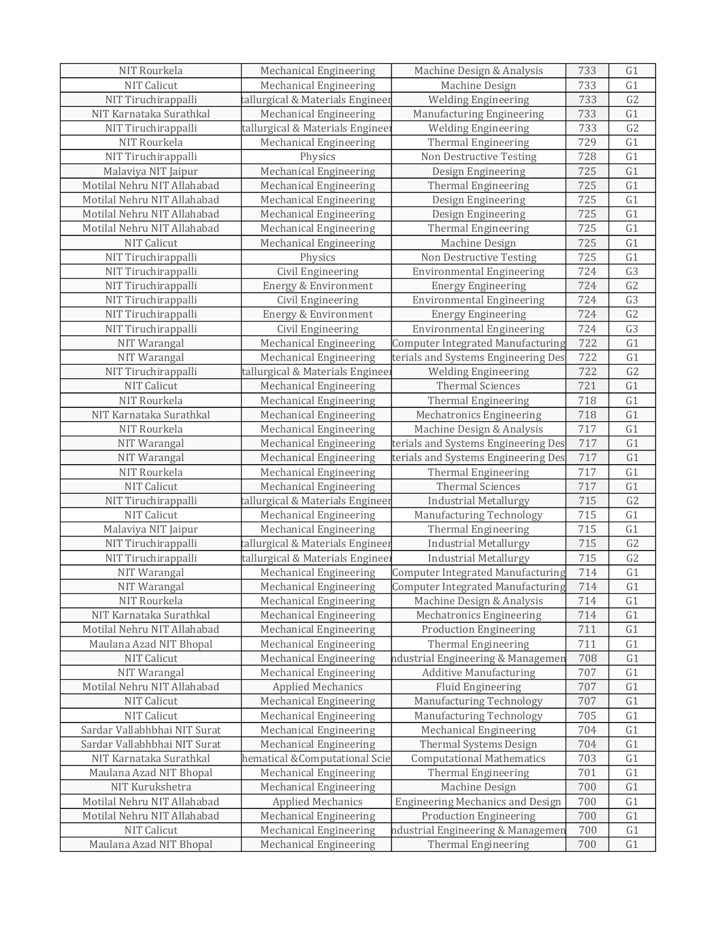| NIT Rourkela                 | Mechanical Engineering           | Machine Design & Analysis                | 733 | G1             |
|------------------------------|----------------------------------|------------------------------------------|-----|----------------|
| <b>NIT Calicut</b>           | Mechanical Engineering           | Machine Design                           | 733 | G <sub>1</sub> |
| NIT Tiruchirappalli          | tallurgical & Materials Engineer | <b>Welding Engineering</b>               | 733 | G <sub>2</sub> |
| NIT Karnataka Surathkal      | <b>Mechanical Engineering</b>    | Manufacturing Engineering                | 733 | G1             |
| NIT Tiruchirappalli          | tallurgical & Materials Enginee  | <b>Welding Engineering</b>               | 733 | G <sub>2</sub> |
| NIT Rourkela                 | <b>Mechanical Engineering</b>    | Thermal Engineering                      | 729 | G1             |
| NIT Tiruchirappalli          | Physics                          | Non Destructive Testing                  | 728 | G1             |
| Malaviya NIT Jaipur          | <b>Mechanical Engineering</b>    | Design Engineering                       | 725 | G1             |
| Motilal Nehru NIT Allahabad  | Mechanical Engineering           | Thermal Engineering                      | 725 | G1             |
| Motilal Nehru NIT Allahabad  | Mechanical Engineering           | Design Engineering                       | 725 | G1             |
| Motilal Nehru NIT Allahabad  | Mechanical Engineering           | Design Engineering                       | 725 | G1             |
| Motilal Nehru NIT Allahabad  | Mechanical Engineering           | Thermal Engineering                      | 725 | G1             |
| NIT Calicut                  | <b>Mechanical Engineering</b>    | Machine Design                           | 725 | G1             |
| NIT Tiruchirappalli          | Physics                          | Non Destructive Testing                  | 725 | G1             |
| NIT Tiruchirappalli          | Civil Engineering                | <b>Environmental Engineering</b>         | 724 | G <sub>3</sub> |
| NIT Tiruchirappalli          | Energy & Environment             | <b>Energy Engineering</b>                | 724 | G <sub>2</sub> |
| NIT Tiruchirappalli          | Civil Engineering                | <b>Environmental Engineering</b>         | 724 | G <sub>3</sub> |
| NIT Tiruchirappalli          | Energy & Environment             | <b>Energy Engineering</b>                | 724 | G <sub>2</sub> |
| NIT Tiruchirappalli          | Civil Engineering                | <b>Environmental Engineering</b>         | 724 | G <sub>3</sub> |
| NIT Warangal                 | Mechanical Engineering           | <b>Computer Integrated Manufacturing</b> | 722 | G1             |
| NIT Warangal                 | Mechanical Engineering           | terials and Systems Engineering Des      | 722 | G1             |
| NIT Tiruchirappalli          | tallurgical & Materials Enginee  | <b>Welding Engineering</b>               | 722 | G <sub>2</sub> |
| <b>NIT Calicut</b>           | <b>Mechanical Engineering</b>    | <b>Thermal Sciences</b>                  | 721 | G1             |
| NIT Rourkela                 | Mechanical Engineering           | Thermal Engineering                      | 718 | G1             |
| NIT Karnataka Surathkal      | Mechanical Engineering           | <b>Mechatronics Engineering</b>          | 718 | G1             |
| NIT Rourkela                 | <b>Mechanical Engineering</b>    | Machine Design & Analysis                | 717 | G1             |
| NIT Warangal                 | Mechanical Engineering           | terials and Systems Engineering Des      | 717 | G1             |
| NIT Warangal                 | Mechanical Engineering           | terials and Systems Engineering Des      | 717 | G1             |
| NIT Rourkela                 | <b>Mechanical Engineering</b>    | Thermal Engineering                      | 717 | G1             |
| <b>NIT Calicut</b>           | <b>Mechanical Engineering</b>    | <b>Thermal Sciences</b>                  | 717 | G1             |
| NIT Tiruchirappalli          | tallurgical & Materials Engineer | <b>Industrial Metallurgy</b>             | 715 | G2             |
| NIT Calicut                  | Mechanical Engineering           | Manufacturing Technology                 | 715 | G1             |
| Malaviya NIT Jaipur          | Mechanical Engineering           | Thermal Engineering                      | 715 | G1             |
| NIT Tiruchirappalli          | tallurgical & Materials Engineer | <b>Industrial Metallurgy</b>             | 715 | G2             |
| NIT Tiruchirappalli          | tallurgical & Materials Engineer | <b>Industrial Metallurgy</b>             | 715 | G2             |
| NIT Warangal                 | Mechanical Engineering           | Computer Integrated Manufacturing        | 714 | G1             |
| NIT Warangal                 | Mechanical Engineering           | <b>Computer Integrated Manufacturing</b> | 714 | G1             |
| NIT Rourkela                 | Mechanical Engineering           | Machine Design & Analysis                | 714 | G1             |
| NIT Karnataka Surathkal      | Mechanical Engineering           | <b>Mechatronics Engineering</b>          | 714 | G1             |
| Motilal Nehru NIT Allahabad  | Mechanical Engineering           | <b>Production Engineering</b>            | 711 | G1             |
| Maulana Azad NIT Bhopal      | Mechanical Engineering           | <b>Thermal Engineering</b>               | 711 | G1             |
| NIT Calicut                  | <b>Mechanical Engineering</b>    | ndustrial Engineering & Managemer        | 708 | G1             |
| NIT Warangal                 | Mechanical Engineering           | <b>Additive Manufacturing</b>            | 707 | G1             |
| Motilal Nehru NIT Allahabad  | <b>Applied Mechanics</b>         | <b>Fluid Engineering</b>                 | 707 | G1             |
| NIT Calicut                  | Mechanical Engineering           | Manufacturing Technology                 | 707 | G1             |
| NIT Calicut                  | Mechanical Engineering           | Manufacturing Technology                 | 705 | G1             |
| Sardar Vallabhbhai NIT Surat | Mechanical Engineering           | Mechanical Engineering                   | 704 | G1             |
| Sardar Vallabhbhai NIT Surat | <b>Mechanical Engineering</b>    | Thermal Systems Design                   | 704 | G1             |
| NIT Karnataka Surathkal      | hematical &Computational Scie    | <b>Computational Mathematics</b>         | 703 | G1             |
| Maulana Azad NIT Bhopal      | Mechanical Engineering           | Thermal Engineering                      | 701 | G1             |
| NIT Kurukshetra              | <b>Mechanical Engineering</b>    | Machine Design                           | 700 | G1             |
| Motilal Nehru NIT Allahabad  | <b>Applied Mechanics</b>         | <b>Engineering Mechanics and Design</b>  | 700 | G1             |
| Motilal Nehru NIT Allahabad  | Mechanical Engineering           | <b>Production Engineering</b>            | 700 | G1             |
| NIT Calicut                  | <b>Mechanical Engineering</b>    | ndustrial Engineering & Managemen        | 700 | G1             |
| Maulana Azad NIT Bhopal      | Mechanical Engineering           | Thermal Engineering                      | 700 | G1             |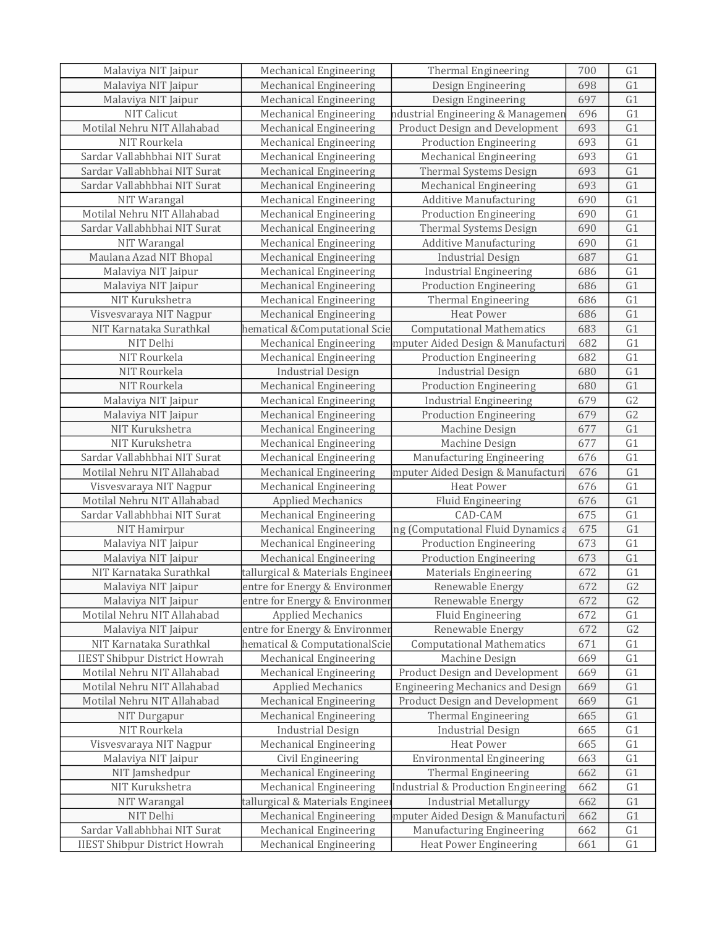| Malaviya NIT Jaipur                  | <b>Mechanical Engineering</b>    | Thermal Engineering                     | 700 | G <sub>1</sub> |
|--------------------------------------|----------------------------------|-----------------------------------------|-----|----------------|
| Malaviya NIT Jaipur                  | <b>Mechanical Engineering</b>    | Design Engineering                      | 698 | G1             |
| Malaviya NIT Jaipur                  | Mechanical Engineering           | Design Engineering                      | 697 | G1             |
| NIT Calicut                          | Mechanical Engineering           | ndustrial Engineering & Managemen       | 696 | G1             |
| Motilal Nehru NIT Allahabad          | Mechanical Engineering           | Product Design and Development          | 693 | G1             |
| NIT Rourkela                         | <b>Mechanical Engineering</b>    | <b>Production Engineering</b>           | 693 | G1             |
| Sardar Vallabhbhai NIT Surat         | Mechanical Engineering           | Mechanical Engineering                  | 693 | G1             |
| Sardar Vallabhbhai NIT Surat         | Mechanical Engineering           | Thermal Systems Design                  | 693 | G1             |
| Sardar Vallabhbhai NIT Surat         | Mechanical Engineering           | Mechanical Engineering                  | 693 | G1             |
| NIT Warangal                         | Mechanical Engineering           | <b>Additive Manufacturing</b>           | 690 | G1             |
| Motilal Nehru NIT Allahabad          | Mechanical Engineering           | <b>Production Engineering</b>           | 690 | G1             |
| Sardar Vallabhbhai NIT Surat         | <b>Mechanical Engineering</b>    | Thermal Systems Design                  | 690 | G1             |
| NIT Warangal                         | Mechanical Engineering           | <b>Additive Manufacturing</b>           | 690 | G1             |
| Maulana Azad NIT Bhopal              | Mechanical Engineering           | <b>Industrial Design</b>                | 687 | G1             |
| Malaviya NIT Jaipur                  | Mechanical Engineering           | <b>Industrial Engineering</b>           | 686 | G1             |
| Malaviya NIT Jaipur                  | <b>Mechanical Engineering</b>    | <b>Production Engineering</b>           | 686 | G1             |
| NIT Kurukshetra                      | Mechanical Engineering           | Thermal Engineering                     | 686 | G1             |
| Visvesvaraya NIT Nagpur              | Mechanical Engineering           | <b>Heat Power</b>                       | 686 | G1             |
| NIT Karnataka Surathkal              | hematical &Computational Scie    | <b>Computational Mathematics</b>        | 683 | G1             |
| NIT Delhi                            | Mechanical Engineering           | mputer Aided Design & Manufacturi       | 682 | G1             |
| NIT Rourkela                         | <b>Mechanical Engineering</b>    | <b>Production Engineering</b>           | 682 | G1             |
| NIT Rourkela                         | <b>Industrial Design</b>         | <b>Industrial Design</b>                | 680 | G1             |
| NIT Rourkela                         | Mechanical Engineering           | <b>Production Engineering</b>           | 680 | G1             |
| Malaviya NIT Jaipur                  | Mechanical Engineering           | <b>Industrial Engineering</b>           | 679 | G <sub>2</sub> |
| Malaviya NIT Jaipur                  | Mechanical Engineering           | <b>Production Engineering</b>           | 679 | G <sub>2</sub> |
| NIT Kurukshetra                      | Mechanical Engineering           | Machine Design                          | 677 | G1             |
| NIT Kurukshetra                      | Mechanical Engineering           | Machine Design                          | 677 | G1             |
| Sardar Vallabhbhai NIT Surat         | Mechanical Engineering           | Manufacturing Engineering               | 676 | G1             |
| Motilal Nehru NIT Allahabad          | Mechanical Engineering           | mputer Aided Design & Manufacturi       | 676 | G1             |
| Visvesvaraya NIT Nagpur              | Mechanical Engineering           | <b>Heat Power</b>                       | 676 | G1             |
| Motilal Nehru NIT Allahabad          | <b>Applied Mechanics</b>         | <b>Fluid Engineering</b>                | 676 | G1             |
| Sardar Vallabhbhai NIT Surat         | Mechanical Engineering           | CAD-CAM                                 | 675 | G1             |
| NIT Hamirpur                         | Mechanical Engineering           | ing (Computational Fluid Dynamics       | 675 | G1             |
| Malaviya NIT Jaipur                  | Mechanical Engineering           | <b>Production Engineering</b>           | 673 | G1             |
| Malaviya NIT Jaipur                  | Mechanical Engineering           | <b>Production Engineering</b>           | 673 | G1             |
| NIT Karnataka Surathkal              | tallurgical & Materials Enginee: | <b>Materials Engineering</b>            | 672 | G1             |
| Malaviya NIT Jaipur                  | entre for Energy & Environmen    | Renewable Energy                        | 672 | G <sub>2</sub> |
| Malaviya NIT Jaipur                  | entre for Energy & Environmer    | Renewable Energy                        | 672 | G <sub>2</sub> |
| Motilal Nehru NIT Allahabad          | <b>Applied Mechanics</b>         | Fluid Engineering                       | 672 | G1             |
| Malaviya NIT Jaipur                  | entre for Energy & Environmer    | Renewable Energy                        | 672 | G <sub>2</sub> |
| NIT Karnataka Surathkal              | hematical & ComputationalScie    | <b>Computational Mathematics</b>        | 671 | G1             |
| <b>IIEST Shibpur District Howrah</b> | Mechanical Engineering           | Machine Design                          | 669 | G1             |
| Motilal Nehru NIT Allahabad          | <b>Mechanical Engineering</b>    | Product Design and Development          | 669 | G1             |
| Motilal Nehru NIT Allahabad          | <b>Applied Mechanics</b>         | <b>Engineering Mechanics and Design</b> | 669 | G1             |
| Motilal Nehru NIT Allahabad          | Mechanical Engineering           | <b>Product Design and Development</b>   | 669 | G1             |
| NIT Durgapur                         | <b>Mechanical Engineering</b>    | Thermal Engineering                     | 665 | G1             |
| NIT Rourkela                         | <b>Industrial Design</b>         | <b>Industrial Design</b>                | 665 | G1             |
| Visvesvaraya NIT Nagpur              | Mechanical Engineering           | <b>Heat Power</b>                       | 665 | G1             |
| Malaviya NIT Jaipur                  | Civil Engineering                | <b>Environmental Engineering</b>        | 663 | G1             |
| NIT Jamshedpur                       | Mechanical Engineering           | <b>Thermal Engineering</b>              | 662 | G1             |
| NIT Kurukshetra                      | <b>Mechanical Engineering</b>    | Industrial & Production Engineering     | 662 | G1             |
| NIT Warangal                         | tallurgical & Materials Enginee  | <b>Industrial Metallurgy</b>            | 662 | G1             |
| NIT Delhi                            | Mechanical Engineering           | mputer Aided Design & Manufacturi       | 662 | G1             |
| Sardar Vallabhbhai NIT Surat         | Mechanical Engineering           | Manufacturing Engineering               | 662 | G1             |
| <b>IIEST Shibpur District Howrah</b> | <b>Mechanical Engineering</b>    | <b>Heat Power Engineering</b>           | 661 | G1             |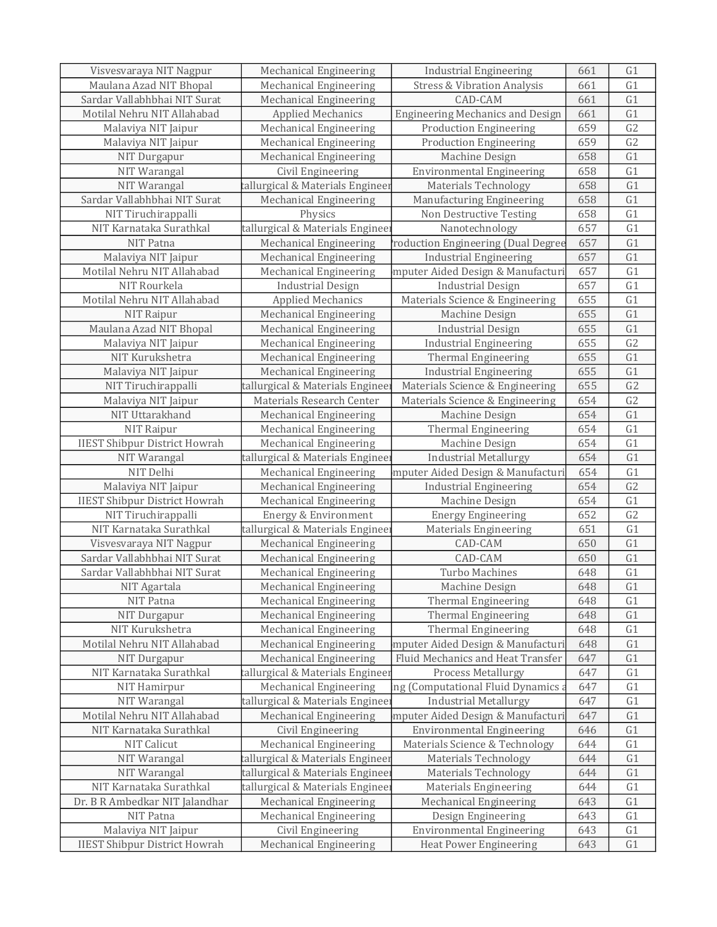| Visvesvaraya NIT Nagpur              | <b>Mechanical Engineering</b>    | <b>Industrial Engineering</b>           | 661 | G <sub>1</sub> |
|--------------------------------------|----------------------------------|-----------------------------------------|-----|----------------|
| Maulana Azad NIT Bhopal              | Mechanical Engineering           | <b>Stress &amp; Vibration Analysis</b>  | 661 | G1             |
| Sardar Vallabhbhai NIT Surat         | Mechanical Engineering           | CAD-CAM                                 | 661 | G1             |
| Motilal Nehru NIT Allahabad          | <b>Applied Mechanics</b>         | <b>Engineering Mechanics and Design</b> | 661 | G1             |
| Malaviya NIT Jaipur                  | Mechanical Engineering           | <b>Production Engineering</b>           | 659 | G <sub>2</sub> |
| Malaviya NIT Jaipur                  | Mechanical Engineering           | <b>Production Engineering</b>           | 659 | G <sub>2</sub> |
| NIT Durgapur                         | Mechanical Engineering           | Machine Design                          | 658 | G1             |
| NIT Warangal                         | Civil Engineering                | <b>Environmental Engineering</b>        | 658 | G1             |
| NIT Warangal                         | tallurgical & Materials Engineer | <b>Materials Technology</b>             | 658 | G1             |
| Sardar Vallabhbhai NIT Surat         | <b>Mechanical Engineering</b>    | Manufacturing Engineering               | 658 | G1             |
| NIT Tiruchirappalli                  | Physics                          | Non Destructive Testing                 | 658 | G1             |
| NIT Karnataka Surathkal              | tallurgical & Materials Engineer | Nanotechnology                          | 657 | G1             |
| NIT Patna                            | <b>Mechanical Engineering</b>    | roduction Engineering (Dual Degree      | 657 | G1             |
| Malaviya NIT Jaipur                  | Mechanical Engineering           | <b>Industrial Engineering</b>           | 657 | G1             |
| Motilal Nehru NIT Allahabad          | Mechanical Engineering           | mputer Aided Design & Manufacturi       | 657 | G1             |
| NIT Rourkela                         | <b>Industrial Design</b>         | <b>Industrial Design</b>                | 657 | G1             |
| Motilal Nehru NIT Allahabad          | <b>Applied Mechanics</b>         | Materials Science & Engineering         | 655 | G1             |
| NIT Raipur                           | Mechanical Engineering           | Machine Design                          | 655 | G1             |
| Maulana Azad NIT Bhopal              | Mechanical Engineering           | <b>Industrial Design</b>                | 655 | G1             |
|                                      | Mechanical Engineering           |                                         | 655 | G <sub>2</sub> |
| Malaviya NIT Jaipur                  |                                  | <b>Industrial Engineering</b>           |     |                |
| NIT Kurukshetra                      | Mechanical Engineering           | Thermal Engineering                     | 655 | G1             |
| Malaviya NIT Jaipur                  | Mechanical Engineering           | <b>Industrial Engineering</b>           | 655 | G1             |
| NIT Tiruchirappalli                  | tallurgical & Materials Enginee: | Materials Science & Engineering         | 655 | G <sub>2</sub> |
| Malaviya NIT Jaipur                  | Materials Research Center        | Materials Science & Engineering         | 654 | G2             |
| NIT Uttarakhand                      | Mechanical Engineering           | Machine Design                          | 654 | G1             |
| NIT Raipur                           | Mechanical Engineering           | Thermal Engineering                     | 654 | G1             |
| <b>IIEST Shibpur District Howrah</b> | Mechanical Engineering           | Machine Design                          | 654 | G1             |
| NIT Warangal                         | tallurgical & Materials Enginee  | <b>Industrial Metallurgy</b>            | 654 | G1             |
| NIT Delhi                            | <b>Mechanical Engineering</b>    | mputer Aided Design & Manufacturi       | 654 | G1             |
| Malaviya NIT Jaipur                  | <b>Mechanical Engineering</b>    | <b>Industrial Engineering</b>           | 654 | G2             |
| <b>IIEST Shibpur District Howrah</b> | Mechanical Engineering           | Machine Design                          | 654 | G1             |
| NIT Tiruchirappalli                  | Energy & Environment             | <b>Energy Engineering</b>               | 652 | G <sub>2</sub> |
| NIT Karnataka Surathkal              | tallurgical & Materials Engineer | <b>Materials Engineering</b>            | 651 | G1             |
| Visvesvaraya NIT Nagpur              | <b>Mechanical Engineering</b>    | CAD-CAM                                 | 650 | G1             |
| Sardar Vallabhbhai NIT Surat         | Mechanical Engineering           | CAD-CAM                                 | 650 | G1             |
| Sardar Vallabhbhai NIT Surat         | Mechanical Engineering           | Turbo Machines                          | 648 | G1             |
| NIT Agartala                         | Mechanical Engineering           | Machine Design                          | 648 | G1             |
| NIT Patna                            | Mechanical Engineering           | <b>Thermal Engineering</b>              | 648 | G <sub>1</sub> |
| NIT Durgapur                         | Mechanical Engineering           | <b>Thermal Engineering</b>              | 648 | G1             |
| NIT Kurukshetra                      | <b>Mechanical Engineering</b>    | Thermal Engineering                     | 648 | G1             |
| Motilal Nehru NIT Allahabad          | Mechanical Engineering           | mputer Aided Design & Manufacturi       | 648 | G1             |
| NIT Durgapur                         | Mechanical Engineering           | Fluid Mechanics and Heat Transfer       | 647 | G1             |
| NIT Karnataka Surathkal              | tallurgical & Materials Engineer | Process Metallurgy                      | 647 | G1             |
| <b>NIT Hamirpur</b>                  | Mechanical Engineering           | ing (Computational Fluid Dynamics a     | 647 | G1             |
| NIT Warangal                         | tallurgical & Materials Engineer | <b>Industrial Metallurgy</b>            | 647 | G1             |
| Motilal Nehru NIT Allahabad          | <b>Mechanical Engineering</b>    | mputer Aided Design & Manufacturi       | 647 | G1             |
| NIT Karnataka Surathkal              | Civil Engineering                | <b>Environmental Engineering</b>        | 646 | G1             |
| NIT Calicut                          | Mechanical Engineering           | Materials Science & Technology          | 644 | G1             |
| NIT Warangal                         | tallurgical & Materials Engineer | <b>Materials Technology</b>             | 644 | G1             |
| NIT Warangal                         | tallurgical & Materials Enginee  | Materials Technology                    | 644 | G1             |
| NIT Karnataka Surathkal              | tallurgical & Materials Enginee: | <b>Materials Engineering</b>            | 644 | G1             |
| Dr. B R Ambedkar NIT Jalandhar       | Mechanical Engineering           | <b>Mechanical Engineering</b>           | 643 | G1             |
| NIT Patna                            | Mechanical Engineering           | Design Engineering                      | 643 | G1             |
| Malaviya NIT Jaipur                  | Civil Engineering                | <b>Environmental Engineering</b>        | 643 | G1             |
| <b>IIEST Shibpur District Howrah</b> | <b>Mechanical Engineering</b>    | <b>Heat Power Engineering</b>           | 643 | G1             |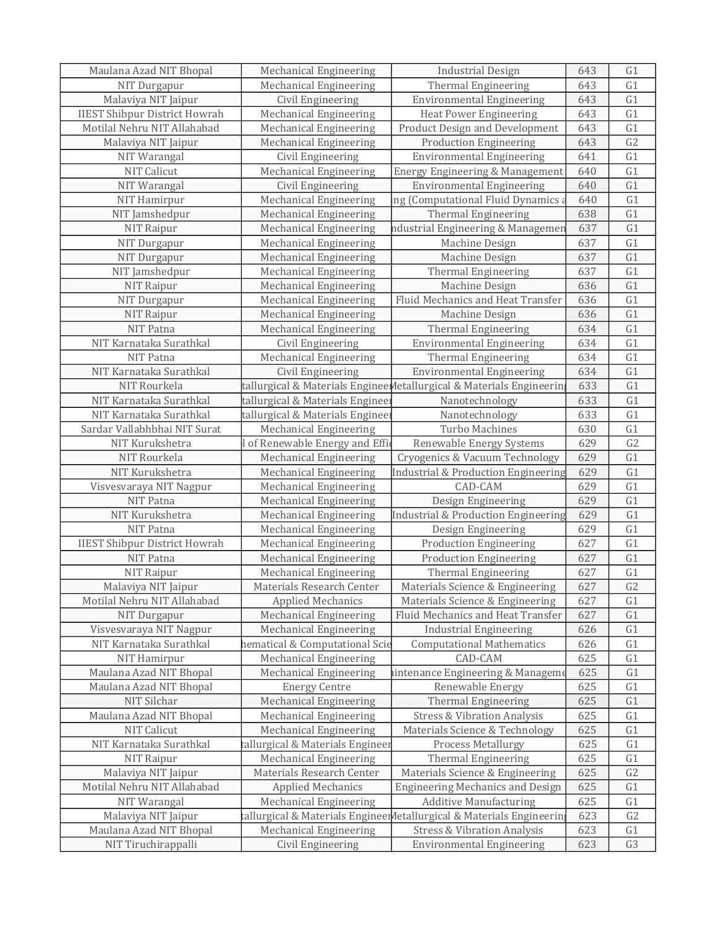| Maulana Azad NIT Bhopal              | Mechanical Engineering           | <b>Industrial Design</b>                                              | 643 | G <sub>1</sub> |
|--------------------------------------|----------------------------------|-----------------------------------------------------------------------|-----|----------------|
| NIT Durgapur                         | Mechanical Engineering           | Thermal Engineering                                                   | 643 | G1             |
| Malaviya NIT Jaipur                  | Civil Engineering                | <b>Environmental Engineering</b>                                      | 643 | G1             |
| <b>IIEST Shibpur District Howrah</b> | Mechanical Engineering           | <b>Heat Power Engineering</b>                                         | 643 | G1             |
| Motilal Nehru NIT Allahabad          | Mechanical Engineering           | Product Design and Development                                        | 643 | G1             |
| Malaviya NIT Jaipur                  | <b>Mechanical Engineering</b>    | <b>Production Engineering</b>                                         | 643 | G <sub>2</sub> |
| NIT Warangal                         | Civil Engineering                | <b>Environmental Engineering</b>                                      | 641 | G1             |
| NIT Calicut                          | <b>Mechanical Engineering</b>    | Energy Engineering & Management                                       | 640 | G1             |
| NIT Warangal                         | Civil Engineering                | <b>Environmental Engineering</b>                                      | 640 | G1             |
| NIT Hamirpur                         | Mechanical Engineering           | ing (Computational Fluid Dynamics a                                   | 640 | G1             |
| NIT Jamshedpur                       | <b>Mechanical Engineering</b>    | Thermal Engineering                                                   | 638 | G1             |
| NIT Raipur                           | Mechanical Engineering           | ndustrial Engineering & Managemer                                     | 637 | G1             |
| NIT Durgapur                         | <b>Mechanical Engineering</b>    | Machine Design                                                        | 637 | G1             |
| NIT Durgapur                         | <b>Mechanical Engineering</b>    | Machine Design                                                        | 637 | G1             |
| NIT Jamshedpur                       | <b>Mechanical Engineering</b>    | <b>Thermal Engineering</b>                                            | 637 | G1             |
| NIT Raipur                           | Mechanical Engineering           | Machine Design                                                        | 636 | G1             |
| NIT Durgapur                         | Mechanical Engineering           | Fluid Mechanics and Heat Transfer                                     | 636 | G1             |
| NIT Raipur                           | Mechanical Engineering           | Machine Design                                                        | 636 | G1             |
| NIT Patna                            | <b>Mechanical Engineering</b>    | Thermal Engineering                                                   | 634 | G1             |
| NIT Karnataka Surathkal              | Civil Engineering                | <b>Environmental Engineering</b>                                      | 634 | G1             |
| NIT Patna                            | Mechanical Engineering           | Thermal Engineering                                                   | 634 | G1             |
| NIT Karnataka Surathkal              | Civil Engineering                | <b>Environmental Engineering</b>                                      | 634 | G1             |
| NIT Rourkela                         |                                  | tallurgical & Materials Enginee Metallurgical & Materials Engineerin  | 633 | G1             |
| NIT Karnataka Surathkal              | tallurgical & Materials Engineer | Nanotechnology                                                        | 633 | G1             |
| NIT Karnataka Surathkal              | tallurgical & Materials Enginee: | Nanotechnology                                                        | 633 | G1             |
| Sardar Vallabhbhai NIT Surat         | Mechanical Engineering           | Turbo Machines                                                        | 630 | G1             |
| NIT Kurukshetra                      | of Renewable Energy and Effic    | Renewable Energy Systems                                              | 629 | G2             |
| NIT Rourkela                         | Mechanical Engineering           | Cryogenics & Vacuum Technology                                        | 629 | G1             |
| NIT Kurukshetra                      | Mechanical Engineering           | Industrial & Production Engineering                                   | 629 | G1             |
| Visvesvaraya NIT Nagpur              | Mechanical Engineering           | CAD-CAM                                                               | 629 | G1             |
| NIT Patna                            | <b>Mechanical Engineering</b>    | Design Engineering                                                    | 629 | G1             |
| NIT Kurukshetra                      | <b>Mechanical Engineering</b>    | Industrial & Production Engineering                                   | 629 | G1             |
| NIT Patna                            | Mechanical Engineering           | Design Engineering                                                    | 629 | G1             |
| <b>IIEST Shibpur District Howrah</b> | Mechanical Engineering           | <b>Production Engineering</b>                                         | 627 | G1             |
| NIT Patna                            | Mechanical Engineering           | <b>Production Engineering</b>                                         | 627 | G1             |
| NIT Raipur                           | Mechanical Engineering           | Thermal Engineering                                                   | 627 | G1             |
| Malaviya NIT Jaipur                  | Materials Research Center        | Materials Science & Engineering                                       | 627 | G2             |
| Motilal Nehru NIT Allahabad          | <b>Applied Mechanics</b>         | Materials Science & Engineering                                       | 627 | G1             |
| NIT Durgapur                         | <b>Mechanical Engineering</b>    | Fluid Mechanics and Heat Transfer                                     | 627 | G1             |
| Visvesvaraya NIT Nagpur              | Mechanical Engineering           | <b>Industrial Engineering</b>                                         | 626 | G1             |
| NIT Karnataka Surathkal              | hematical & Computational Scie   | <b>Computational Mathematics</b>                                      | 626 | G1             |
| NIT Hamirpur                         | <b>Mechanical Engineering</b>    | CAD-CAM                                                               | 625 | G1             |
| Maulana Azad NIT Bhopal              | <b>Mechanical Engineering</b>    | aintenance Engineering & Manageme                                     | 625 | G1             |
| Maulana Azad NIT Bhopal              | <b>Energy Centre</b>             | Renewable Energy                                                      | 625 | G1             |
| NIT Silchar                          | Mechanical Engineering           | Thermal Engineering                                                   | 625 | G1             |
| Maulana Azad NIT Bhopal              | Mechanical Engineering           | <b>Stress &amp; Vibration Analysis</b>                                | 625 | G1             |
| <b>NIT Calicut</b>                   | <b>Mechanical Engineering</b>    | Materials Science & Technology                                        | 625 | G1             |
| NIT Karnataka Surathkal              | tallurgical & Materials Engineer | <b>Process Metallurgy</b>                                             | 625 | G1             |
| NIT Raipur                           | Mechanical Engineering           | Thermal Engineering                                                   | 625 | G1             |
| Malaviya NIT Jaipur                  | Materials Research Center        | Materials Science & Engineering                                       | 625 | G2             |
| Motilal Nehru NIT Allahabad          | <b>Applied Mechanics</b>         | <b>Engineering Mechanics and Design</b>                               | 625 | G1             |
| NIT Warangal                         | Mechanical Engineering           | <b>Additive Manufacturing</b>                                         | 625 | G1             |
| Malaviya NIT Jaipur                  |                                  | tallurgical & Materials Engineer Metallurgical & Materials Engineerin | 623 | G2             |
| Maulana Azad NIT Bhopal              | Mechanical Engineering           | <b>Stress &amp; Vibration Analysis</b>                                | 623 | G1             |
| NIT Tiruchirappalli                  | Civil Engineering                | <b>Environmental Engineering</b>                                      | 623 | G <sub>3</sub> |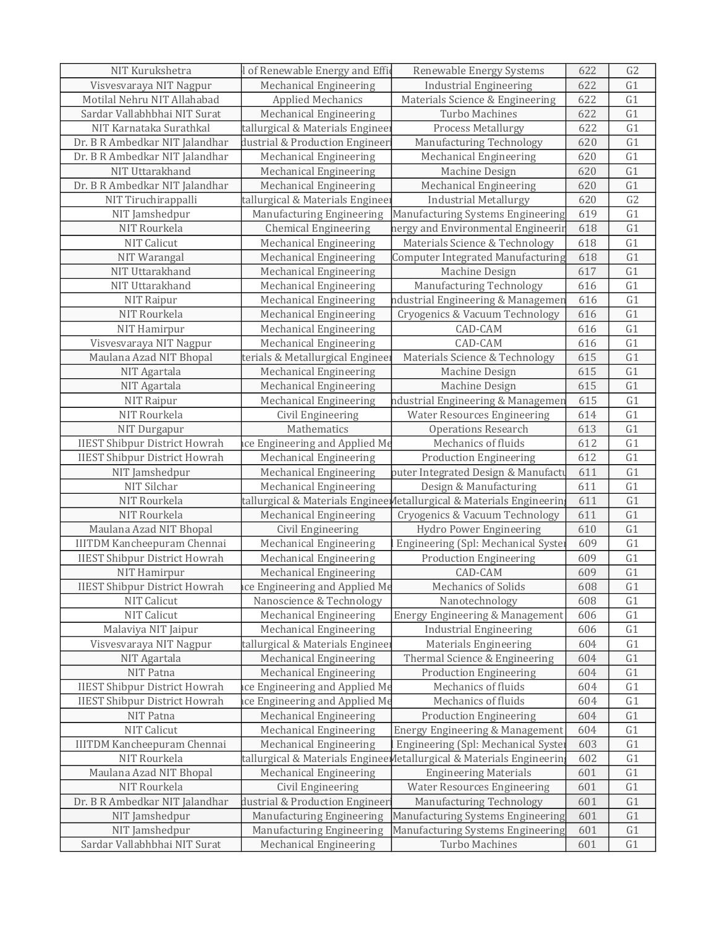| 622<br>Visvesvaraya NIT Nagpur<br>Mechanical Engineering<br><b>Industrial Engineering</b><br>G1<br>Motilal Nehru NIT Allahabad<br><b>Applied Mechanics</b><br>Materials Science & Engineering<br>622<br>G1<br>G1<br>Mechanical Engineering<br>Turbo Machines<br>622<br>Sardar Vallabhbhai NIT Surat<br>G1<br>NIT Karnataka Surathkal<br>tallurgical & Materials Engineer<br><b>Process Metallurgy</b><br>622<br>Dr. B R Ambedkar NIT Jalandhar<br>Manufacturing Technology<br>G1<br>dustrial & Production Engineer<br>620<br>G1<br>Dr. B R Ambedkar NIT Jalandhar<br>620<br>Mechanical Engineering<br><b>Mechanical Engineering</b><br>G1<br>NIT Uttarakhand<br>Mechanical Engineering<br>Machine Design<br>620<br>G1<br>Dr. B R Ambedkar NIT Jalandhar<br>Mechanical Engineering<br><b>Mechanical Engineering</b><br>620<br>G <sub>2</sub><br>NIT Tiruchirappalli<br>tallurgical & Materials Engineer<br><b>Industrial Metallurgy</b><br>620<br>NIT Jamshedpur<br>G1<br>Manufacturing Engineering<br>Manufacturing Systems Engineering<br>619<br>G1<br>NIT Rourkela<br>618<br><b>Chemical Engineering</b><br>nergy and Environmental Engineerin<br>G1<br>NIT Calicut<br>Materials Science & Technology<br>618<br><b>Mechanical Engineering</b><br>G1<br>NIT Warangal<br>618<br>Mechanical Engineering<br><b>Computer Integrated Manufacturing</b><br>G1<br>617<br>NIT Uttarakhand<br><b>Mechanical Engineering</b><br>Machine Design<br>G1<br>NIT Uttarakhand<br>Manufacturing Technology<br><b>Mechanical Engineering</b><br>616<br>G1<br>616<br>NIT Raipur<br>Mechanical Engineering<br>ndustrial Engineering & Managemer<br>G1<br>NIT Rourkela<br><b>Mechanical Engineering</b><br>Cryogenics & Vacuum Technology<br>616<br>G1<br>NIT Hamirpur<br>CAD-CAM<br><b>Mechanical Engineering</b><br>616<br>G1<br>CAD-CAM<br>616<br>Visvesvaraya NIT Nagpur<br>Mechanical Engineering<br>G1<br>Maulana Azad NIT Bhopal<br>terials & Metallurgical Engineer<br>615<br>Materials Science & Technology<br>G1<br>NIT Agartala<br>Mechanical Engineering<br>Machine Design<br>615<br>G1<br>NIT Agartala<br><b>Mechanical Engineering</b><br>Machine Design<br>615<br>G1<br>NIT Raipur<br>615<br>Mechanical Engineering<br>ndustrial Engineering & Managemen<br>NIT Rourkela<br>G1<br>Civil Engineering<br><b>Water Resources Engineering</b><br>614<br>Mathematics<br>G1<br><b>Operations Research</b><br>613<br>NIT Durgapur<br><b>IIEST Shibpur District Howrah</b><br>Mechanics of fluids<br>612<br>G1<br>ice Engineering and Applied Me<br><b>IIEST Shibpur District Howrah</b><br>Mechanical Engineering<br>612<br>G1<br><b>Production Engineering</b><br>G1<br><b>Mechanical Engineering</b><br>puter Integrated Design & Manufacti<br>NIT Jamshedpur<br>611<br>NIT Silchar<br>Mechanical Engineering<br>Design & Manufacturing<br>611<br>G1<br>NIT Rourkela<br>G1<br>tallurgical & Materials Enginee Metallurgical & Materials Engineerin<br>611<br>NIT Rourkela<br>611<br>G1<br><b>Mechanical Engineering</b><br>Cryogenics & Vacuum Technology<br>G1<br>Maulana Azad NIT Bhopal<br>Civil Engineering<br>Hydro Power Engineering<br>610<br>G1<br><b>IIITDM Kancheepuram Chennai</b><br>Engineering (Spl: Mechanical Syste<br>609<br>Mechanical Engineering<br><b>IIEST Shibpur District Howrah</b><br>G1<br>Mechanical Engineering<br>609<br><b>Production Engineering</b><br>CAD-CAM<br>G1<br>Mechanical Engineering<br>609<br>NIT Hamirpur<br><b>IIEST Shibpur District Howrah</b><br>G1<br>ace Engineering and Applied Me<br>Mechanics of Solids<br>608<br>Nanoscience & Technology<br>G1<br>NIT Calicut<br>Nanotechnology<br>608<br><b>NIT Calicut</b><br>Energy Engineering & Management<br>G1<br><b>Mechanical Engineering</b><br>606<br>G1<br>Malaviya NIT Jaipur<br><b>Mechanical Engineering</b><br><b>Industrial Engineering</b><br>606<br>Visvesvaraya NIT Nagpur<br>tallurgical & Materials Engineer<br>604<br>G1<br><b>Materials Engineering</b><br>NIT Agartala<br>G1<br><b>Mechanical Engineering</b><br>Thermal Science & Engineering<br>604<br>G1<br>NIT Patna<br><b>Mechanical Engineering</b><br><b>Production Engineering</b><br>604<br><b>IIEST Shibpur District Howrah</b><br>ice Engineering and Applied Me<br>Mechanics of fluids<br>604<br>G1<br>G1<br><b>IIEST Shibpur District Howrah</b><br>ice Engineering and Applied Me<br>Mechanics of fluids<br>604<br>G1<br><b>Mechanical Engineering</b><br><b>Production Engineering</b><br>604<br>NIT Patna<br><b>NIT Calicut</b><br><b>Mechanical Engineering</b><br>Energy Engineering & Management<br>604<br>G1<br><b>IIITDM Kancheepuram Chennai</b><br><b>Mechanical Engineering</b><br>Engineering (Spl: Mechanical Syster<br>603<br>G1<br>NIT Rourkela<br>tallurgical & Materials Enginee Metallurgical & Materials Engineerin<br>602<br>G1<br>Maulana Azad NIT Bhopal<br>Mechanical Engineering<br><b>Engineering Materials</b><br>601<br>G1<br>NIT Rourkela<br>Civil Engineering<br><b>Water Resources Engineering</b><br>601<br>G1<br>Dr. B R Ambedkar NIT Jalandhar<br>dustrial & Production Engineer<br>Manufacturing Technology<br>601<br>G <sub>1</sub><br>NIT Jamshedpur<br>Manufacturing Systems Engineering<br>Manufacturing Engineering<br>601<br>G <sub>1</sub><br>NIT Jamshedpur<br>Manufacturing Systems Engineering<br>G1<br><b>Manufacturing Engineering</b><br>601<br>Sardar Vallabhbhai NIT Surat<br>Mechanical Engineering<br>Turbo Machines<br>601<br>G1 | NIT Kurukshetra | of Renewable Energy and Effic | Renewable Energy Systems | 622 | G2 |
|----------------------------------------------------------------------------------------------------------------------------------------------------------------------------------------------------------------------------------------------------------------------------------------------------------------------------------------------------------------------------------------------------------------------------------------------------------------------------------------------------------------------------------------------------------------------------------------------------------------------------------------------------------------------------------------------------------------------------------------------------------------------------------------------------------------------------------------------------------------------------------------------------------------------------------------------------------------------------------------------------------------------------------------------------------------------------------------------------------------------------------------------------------------------------------------------------------------------------------------------------------------------------------------------------------------------------------------------------------------------------------------------------------------------------------------------------------------------------------------------------------------------------------------------------------------------------------------------------------------------------------------------------------------------------------------------------------------------------------------------------------------------------------------------------------------------------------------------------------------------------------------------------------------------------------------------------------------------------------------------------------------------------------------------------------------------------------------------------------------------------------------------------------------------------------------------------------------------------------------------------------------------------------------------------------------------------------------------------------------------------------------------------------------------------------------------------------------------------------------------------------------------------------------------------------------------------------------------------------------------------------------------------------------------------------------------------------------------------------------------------------------------------------------------------------------------------------------------------------------------------------------------------------------------------------------------------------------------------------------------------------------------------------------------------------------------------------------------------------------------------------------------------------------------------------------------------------------------------------------------------------------------------------------------------------------------------------------------------------------------------------------------------------------------------------------------------------------------------------------------------------------------------------------------------------------------------------------------------------------------------------------------------------------------------------------------------------------------------------------------------------------------------------------------------------------------------------------------------------------------------------------------------------------------------------------------------------------------------------------------------------------------------------------------------------------------------------------------------------------------------------------------------------------------------------------------------------------------------------------------------------------------------------------------------------------------------------------------------------------------------------------------------------------------------------------------------------------------------------------------------------------------------------------------------------------------------------------------------------------------------------------------------------------------------------------------------------------------------------------------------------------------------------------------------------------------------------------------------------------------------------------------------------------------------------------------------------------------------------------------------------------------------------------------------------------------------------------------------------------------------------------------------------------------------------------------------------------------------------------------------------------------------------------------------------------------------------------------------------------------------------------------------------------------------------------------------------|-----------------|-------------------------------|--------------------------|-----|----|
|                                                                                                                                                                                                                                                                                                                                                                                                                                                                                                                                                                                                                                                                                                                                                                                                                                                                                                                                                                                                                                                                                                                                                                                                                                                                                                                                                                                                                                                                                                                                                                                                                                                                                                                                                                                                                                                                                                                                                                                                                                                                                                                                                                                                                                                                                                                                                                                                                                                                                                                                                                                                                                                                                                                                                                                                                                                                                                                                                                                                                                                                                                                                                                                                                                                                                                                                                                                                                                                                                                                                                                                                                                                                                                                                                                                                                                                                                                                                                                                                                                                                                                                                                                                                                                                                                                                                                                                                                                                                                                                                                                                                                                                                                                                                                                                                                                                                                                                                                                                                                                                                                                                                                                                                                                                                                                                                                                                                                                                          |                 |                               |                          |     |    |
|                                                                                                                                                                                                                                                                                                                                                                                                                                                                                                                                                                                                                                                                                                                                                                                                                                                                                                                                                                                                                                                                                                                                                                                                                                                                                                                                                                                                                                                                                                                                                                                                                                                                                                                                                                                                                                                                                                                                                                                                                                                                                                                                                                                                                                                                                                                                                                                                                                                                                                                                                                                                                                                                                                                                                                                                                                                                                                                                                                                                                                                                                                                                                                                                                                                                                                                                                                                                                                                                                                                                                                                                                                                                                                                                                                                                                                                                                                                                                                                                                                                                                                                                                                                                                                                                                                                                                                                                                                                                                                                                                                                                                                                                                                                                                                                                                                                                                                                                                                                                                                                                                                                                                                                                                                                                                                                                                                                                                                                          |                 |                               |                          |     |    |
|                                                                                                                                                                                                                                                                                                                                                                                                                                                                                                                                                                                                                                                                                                                                                                                                                                                                                                                                                                                                                                                                                                                                                                                                                                                                                                                                                                                                                                                                                                                                                                                                                                                                                                                                                                                                                                                                                                                                                                                                                                                                                                                                                                                                                                                                                                                                                                                                                                                                                                                                                                                                                                                                                                                                                                                                                                                                                                                                                                                                                                                                                                                                                                                                                                                                                                                                                                                                                                                                                                                                                                                                                                                                                                                                                                                                                                                                                                                                                                                                                                                                                                                                                                                                                                                                                                                                                                                                                                                                                                                                                                                                                                                                                                                                                                                                                                                                                                                                                                                                                                                                                                                                                                                                                                                                                                                                                                                                                                                          |                 |                               |                          |     |    |
|                                                                                                                                                                                                                                                                                                                                                                                                                                                                                                                                                                                                                                                                                                                                                                                                                                                                                                                                                                                                                                                                                                                                                                                                                                                                                                                                                                                                                                                                                                                                                                                                                                                                                                                                                                                                                                                                                                                                                                                                                                                                                                                                                                                                                                                                                                                                                                                                                                                                                                                                                                                                                                                                                                                                                                                                                                                                                                                                                                                                                                                                                                                                                                                                                                                                                                                                                                                                                                                                                                                                                                                                                                                                                                                                                                                                                                                                                                                                                                                                                                                                                                                                                                                                                                                                                                                                                                                                                                                                                                                                                                                                                                                                                                                                                                                                                                                                                                                                                                                                                                                                                                                                                                                                                                                                                                                                                                                                                                                          |                 |                               |                          |     |    |
|                                                                                                                                                                                                                                                                                                                                                                                                                                                                                                                                                                                                                                                                                                                                                                                                                                                                                                                                                                                                                                                                                                                                                                                                                                                                                                                                                                                                                                                                                                                                                                                                                                                                                                                                                                                                                                                                                                                                                                                                                                                                                                                                                                                                                                                                                                                                                                                                                                                                                                                                                                                                                                                                                                                                                                                                                                                                                                                                                                                                                                                                                                                                                                                                                                                                                                                                                                                                                                                                                                                                                                                                                                                                                                                                                                                                                                                                                                                                                                                                                                                                                                                                                                                                                                                                                                                                                                                                                                                                                                                                                                                                                                                                                                                                                                                                                                                                                                                                                                                                                                                                                                                                                                                                                                                                                                                                                                                                                                                          |                 |                               |                          |     |    |
|                                                                                                                                                                                                                                                                                                                                                                                                                                                                                                                                                                                                                                                                                                                                                                                                                                                                                                                                                                                                                                                                                                                                                                                                                                                                                                                                                                                                                                                                                                                                                                                                                                                                                                                                                                                                                                                                                                                                                                                                                                                                                                                                                                                                                                                                                                                                                                                                                                                                                                                                                                                                                                                                                                                                                                                                                                                                                                                                                                                                                                                                                                                                                                                                                                                                                                                                                                                                                                                                                                                                                                                                                                                                                                                                                                                                                                                                                                                                                                                                                                                                                                                                                                                                                                                                                                                                                                                                                                                                                                                                                                                                                                                                                                                                                                                                                                                                                                                                                                                                                                                                                                                                                                                                                                                                                                                                                                                                                                                          |                 |                               |                          |     |    |
|                                                                                                                                                                                                                                                                                                                                                                                                                                                                                                                                                                                                                                                                                                                                                                                                                                                                                                                                                                                                                                                                                                                                                                                                                                                                                                                                                                                                                                                                                                                                                                                                                                                                                                                                                                                                                                                                                                                                                                                                                                                                                                                                                                                                                                                                                                                                                                                                                                                                                                                                                                                                                                                                                                                                                                                                                                                                                                                                                                                                                                                                                                                                                                                                                                                                                                                                                                                                                                                                                                                                                                                                                                                                                                                                                                                                                                                                                                                                                                                                                                                                                                                                                                                                                                                                                                                                                                                                                                                                                                                                                                                                                                                                                                                                                                                                                                                                                                                                                                                                                                                                                                                                                                                                                                                                                                                                                                                                                                                          |                 |                               |                          |     |    |
|                                                                                                                                                                                                                                                                                                                                                                                                                                                                                                                                                                                                                                                                                                                                                                                                                                                                                                                                                                                                                                                                                                                                                                                                                                                                                                                                                                                                                                                                                                                                                                                                                                                                                                                                                                                                                                                                                                                                                                                                                                                                                                                                                                                                                                                                                                                                                                                                                                                                                                                                                                                                                                                                                                                                                                                                                                                                                                                                                                                                                                                                                                                                                                                                                                                                                                                                                                                                                                                                                                                                                                                                                                                                                                                                                                                                                                                                                                                                                                                                                                                                                                                                                                                                                                                                                                                                                                                                                                                                                                                                                                                                                                                                                                                                                                                                                                                                                                                                                                                                                                                                                                                                                                                                                                                                                                                                                                                                                                                          |                 |                               |                          |     |    |
|                                                                                                                                                                                                                                                                                                                                                                                                                                                                                                                                                                                                                                                                                                                                                                                                                                                                                                                                                                                                                                                                                                                                                                                                                                                                                                                                                                                                                                                                                                                                                                                                                                                                                                                                                                                                                                                                                                                                                                                                                                                                                                                                                                                                                                                                                                                                                                                                                                                                                                                                                                                                                                                                                                                                                                                                                                                                                                                                                                                                                                                                                                                                                                                                                                                                                                                                                                                                                                                                                                                                                                                                                                                                                                                                                                                                                                                                                                                                                                                                                                                                                                                                                                                                                                                                                                                                                                                                                                                                                                                                                                                                                                                                                                                                                                                                                                                                                                                                                                                                                                                                                                                                                                                                                                                                                                                                                                                                                                                          |                 |                               |                          |     |    |
|                                                                                                                                                                                                                                                                                                                                                                                                                                                                                                                                                                                                                                                                                                                                                                                                                                                                                                                                                                                                                                                                                                                                                                                                                                                                                                                                                                                                                                                                                                                                                                                                                                                                                                                                                                                                                                                                                                                                                                                                                                                                                                                                                                                                                                                                                                                                                                                                                                                                                                                                                                                                                                                                                                                                                                                                                                                                                                                                                                                                                                                                                                                                                                                                                                                                                                                                                                                                                                                                                                                                                                                                                                                                                                                                                                                                                                                                                                                                                                                                                                                                                                                                                                                                                                                                                                                                                                                                                                                                                                                                                                                                                                                                                                                                                                                                                                                                                                                                                                                                                                                                                                                                                                                                                                                                                                                                                                                                                                                          |                 |                               |                          |     |    |
|                                                                                                                                                                                                                                                                                                                                                                                                                                                                                                                                                                                                                                                                                                                                                                                                                                                                                                                                                                                                                                                                                                                                                                                                                                                                                                                                                                                                                                                                                                                                                                                                                                                                                                                                                                                                                                                                                                                                                                                                                                                                                                                                                                                                                                                                                                                                                                                                                                                                                                                                                                                                                                                                                                                                                                                                                                                                                                                                                                                                                                                                                                                                                                                                                                                                                                                                                                                                                                                                                                                                                                                                                                                                                                                                                                                                                                                                                                                                                                                                                                                                                                                                                                                                                                                                                                                                                                                                                                                                                                                                                                                                                                                                                                                                                                                                                                                                                                                                                                                                                                                                                                                                                                                                                                                                                                                                                                                                                                                          |                 |                               |                          |     |    |
|                                                                                                                                                                                                                                                                                                                                                                                                                                                                                                                                                                                                                                                                                                                                                                                                                                                                                                                                                                                                                                                                                                                                                                                                                                                                                                                                                                                                                                                                                                                                                                                                                                                                                                                                                                                                                                                                                                                                                                                                                                                                                                                                                                                                                                                                                                                                                                                                                                                                                                                                                                                                                                                                                                                                                                                                                                                                                                                                                                                                                                                                                                                                                                                                                                                                                                                                                                                                                                                                                                                                                                                                                                                                                                                                                                                                                                                                                                                                                                                                                                                                                                                                                                                                                                                                                                                                                                                                                                                                                                                                                                                                                                                                                                                                                                                                                                                                                                                                                                                                                                                                                                                                                                                                                                                                                                                                                                                                                                                          |                 |                               |                          |     |    |
|                                                                                                                                                                                                                                                                                                                                                                                                                                                                                                                                                                                                                                                                                                                                                                                                                                                                                                                                                                                                                                                                                                                                                                                                                                                                                                                                                                                                                                                                                                                                                                                                                                                                                                                                                                                                                                                                                                                                                                                                                                                                                                                                                                                                                                                                                                                                                                                                                                                                                                                                                                                                                                                                                                                                                                                                                                                                                                                                                                                                                                                                                                                                                                                                                                                                                                                                                                                                                                                                                                                                                                                                                                                                                                                                                                                                                                                                                                                                                                                                                                                                                                                                                                                                                                                                                                                                                                                                                                                                                                                                                                                                                                                                                                                                                                                                                                                                                                                                                                                                                                                                                                                                                                                                                                                                                                                                                                                                                                                          |                 |                               |                          |     |    |
|                                                                                                                                                                                                                                                                                                                                                                                                                                                                                                                                                                                                                                                                                                                                                                                                                                                                                                                                                                                                                                                                                                                                                                                                                                                                                                                                                                                                                                                                                                                                                                                                                                                                                                                                                                                                                                                                                                                                                                                                                                                                                                                                                                                                                                                                                                                                                                                                                                                                                                                                                                                                                                                                                                                                                                                                                                                                                                                                                                                                                                                                                                                                                                                                                                                                                                                                                                                                                                                                                                                                                                                                                                                                                                                                                                                                                                                                                                                                                                                                                                                                                                                                                                                                                                                                                                                                                                                                                                                                                                                                                                                                                                                                                                                                                                                                                                                                                                                                                                                                                                                                                                                                                                                                                                                                                                                                                                                                                                                          |                 |                               |                          |     |    |
|                                                                                                                                                                                                                                                                                                                                                                                                                                                                                                                                                                                                                                                                                                                                                                                                                                                                                                                                                                                                                                                                                                                                                                                                                                                                                                                                                                                                                                                                                                                                                                                                                                                                                                                                                                                                                                                                                                                                                                                                                                                                                                                                                                                                                                                                                                                                                                                                                                                                                                                                                                                                                                                                                                                                                                                                                                                                                                                                                                                                                                                                                                                                                                                                                                                                                                                                                                                                                                                                                                                                                                                                                                                                                                                                                                                                                                                                                                                                                                                                                                                                                                                                                                                                                                                                                                                                                                                                                                                                                                                                                                                                                                                                                                                                                                                                                                                                                                                                                                                                                                                                                                                                                                                                                                                                                                                                                                                                                                                          |                 |                               |                          |     |    |
|                                                                                                                                                                                                                                                                                                                                                                                                                                                                                                                                                                                                                                                                                                                                                                                                                                                                                                                                                                                                                                                                                                                                                                                                                                                                                                                                                                                                                                                                                                                                                                                                                                                                                                                                                                                                                                                                                                                                                                                                                                                                                                                                                                                                                                                                                                                                                                                                                                                                                                                                                                                                                                                                                                                                                                                                                                                                                                                                                                                                                                                                                                                                                                                                                                                                                                                                                                                                                                                                                                                                                                                                                                                                                                                                                                                                                                                                                                                                                                                                                                                                                                                                                                                                                                                                                                                                                                                                                                                                                                                                                                                                                                                                                                                                                                                                                                                                                                                                                                                                                                                                                                                                                                                                                                                                                                                                                                                                                                                          |                 |                               |                          |     |    |
|                                                                                                                                                                                                                                                                                                                                                                                                                                                                                                                                                                                                                                                                                                                                                                                                                                                                                                                                                                                                                                                                                                                                                                                                                                                                                                                                                                                                                                                                                                                                                                                                                                                                                                                                                                                                                                                                                                                                                                                                                                                                                                                                                                                                                                                                                                                                                                                                                                                                                                                                                                                                                                                                                                                                                                                                                                                                                                                                                                                                                                                                                                                                                                                                                                                                                                                                                                                                                                                                                                                                                                                                                                                                                                                                                                                                                                                                                                                                                                                                                                                                                                                                                                                                                                                                                                                                                                                                                                                                                                                                                                                                                                                                                                                                                                                                                                                                                                                                                                                                                                                                                                                                                                                                                                                                                                                                                                                                                                                          |                 |                               |                          |     |    |
|                                                                                                                                                                                                                                                                                                                                                                                                                                                                                                                                                                                                                                                                                                                                                                                                                                                                                                                                                                                                                                                                                                                                                                                                                                                                                                                                                                                                                                                                                                                                                                                                                                                                                                                                                                                                                                                                                                                                                                                                                                                                                                                                                                                                                                                                                                                                                                                                                                                                                                                                                                                                                                                                                                                                                                                                                                                                                                                                                                                                                                                                                                                                                                                                                                                                                                                                                                                                                                                                                                                                                                                                                                                                                                                                                                                                                                                                                                                                                                                                                                                                                                                                                                                                                                                                                                                                                                                                                                                                                                                                                                                                                                                                                                                                                                                                                                                                                                                                                                                                                                                                                                                                                                                                                                                                                                                                                                                                                                                          |                 |                               |                          |     |    |
|                                                                                                                                                                                                                                                                                                                                                                                                                                                                                                                                                                                                                                                                                                                                                                                                                                                                                                                                                                                                                                                                                                                                                                                                                                                                                                                                                                                                                                                                                                                                                                                                                                                                                                                                                                                                                                                                                                                                                                                                                                                                                                                                                                                                                                                                                                                                                                                                                                                                                                                                                                                                                                                                                                                                                                                                                                                                                                                                                                                                                                                                                                                                                                                                                                                                                                                                                                                                                                                                                                                                                                                                                                                                                                                                                                                                                                                                                                                                                                                                                                                                                                                                                                                                                                                                                                                                                                                                                                                                                                                                                                                                                                                                                                                                                                                                                                                                                                                                                                                                                                                                                                                                                                                                                                                                                                                                                                                                                                                          |                 |                               |                          |     |    |
|                                                                                                                                                                                                                                                                                                                                                                                                                                                                                                                                                                                                                                                                                                                                                                                                                                                                                                                                                                                                                                                                                                                                                                                                                                                                                                                                                                                                                                                                                                                                                                                                                                                                                                                                                                                                                                                                                                                                                                                                                                                                                                                                                                                                                                                                                                                                                                                                                                                                                                                                                                                                                                                                                                                                                                                                                                                                                                                                                                                                                                                                                                                                                                                                                                                                                                                                                                                                                                                                                                                                                                                                                                                                                                                                                                                                                                                                                                                                                                                                                                                                                                                                                                                                                                                                                                                                                                                                                                                                                                                                                                                                                                                                                                                                                                                                                                                                                                                                                                                                                                                                                                                                                                                                                                                                                                                                                                                                                                                          |                 |                               |                          |     |    |
|                                                                                                                                                                                                                                                                                                                                                                                                                                                                                                                                                                                                                                                                                                                                                                                                                                                                                                                                                                                                                                                                                                                                                                                                                                                                                                                                                                                                                                                                                                                                                                                                                                                                                                                                                                                                                                                                                                                                                                                                                                                                                                                                                                                                                                                                                                                                                                                                                                                                                                                                                                                                                                                                                                                                                                                                                                                                                                                                                                                                                                                                                                                                                                                                                                                                                                                                                                                                                                                                                                                                                                                                                                                                                                                                                                                                                                                                                                                                                                                                                                                                                                                                                                                                                                                                                                                                                                                                                                                                                                                                                                                                                                                                                                                                                                                                                                                                                                                                                                                                                                                                                                                                                                                                                                                                                                                                                                                                                                                          |                 |                               |                          |     |    |
|                                                                                                                                                                                                                                                                                                                                                                                                                                                                                                                                                                                                                                                                                                                                                                                                                                                                                                                                                                                                                                                                                                                                                                                                                                                                                                                                                                                                                                                                                                                                                                                                                                                                                                                                                                                                                                                                                                                                                                                                                                                                                                                                                                                                                                                                                                                                                                                                                                                                                                                                                                                                                                                                                                                                                                                                                                                                                                                                                                                                                                                                                                                                                                                                                                                                                                                                                                                                                                                                                                                                                                                                                                                                                                                                                                                                                                                                                                                                                                                                                                                                                                                                                                                                                                                                                                                                                                                                                                                                                                                                                                                                                                                                                                                                                                                                                                                                                                                                                                                                                                                                                                                                                                                                                                                                                                                                                                                                                                                          |                 |                               |                          |     |    |
|                                                                                                                                                                                                                                                                                                                                                                                                                                                                                                                                                                                                                                                                                                                                                                                                                                                                                                                                                                                                                                                                                                                                                                                                                                                                                                                                                                                                                                                                                                                                                                                                                                                                                                                                                                                                                                                                                                                                                                                                                                                                                                                                                                                                                                                                                                                                                                                                                                                                                                                                                                                                                                                                                                                                                                                                                                                                                                                                                                                                                                                                                                                                                                                                                                                                                                                                                                                                                                                                                                                                                                                                                                                                                                                                                                                                                                                                                                                                                                                                                                                                                                                                                                                                                                                                                                                                                                                                                                                                                                                                                                                                                                                                                                                                                                                                                                                                                                                                                                                                                                                                                                                                                                                                                                                                                                                                                                                                                                                          |                 |                               |                          |     |    |
|                                                                                                                                                                                                                                                                                                                                                                                                                                                                                                                                                                                                                                                                                                                                                                                                                                                                                                                                                                                                                                                                                                                                                                                                                                                                                                                                                                                                                                                                                                                                                                                                                                                                                                                                                                                                                                                                                                                                                                                                                                                                                                                                                                                                                                                                                                                                                                                                                                                                                                                                                                                                                                                                                                                                                                                                                                                                                                                                                                                                                                                                                                                                                                                                                                                                                                                                                                                                                                                                                                                                                                                                                                                                                                                                                                                                                                                                                                                                                                                                                                                                                                                                                                                                                                                                                                                                                                                                                                                                                                                                                                                                                                                                                                                                                                                                                                                                                                                                                                                                                                                                                                                                                                                                                                                                                                                                                                                                                                                          |                 |                               |                          |     |    |
|                                                                                                                                                                                                                                                                                                                                                                                                                                                                                                                                                                                                                                                                                                                                                                                                                                                                                                                                                                                                                                                                                                                                                                                                                                                                                                                                                                                                                                                                                                                                                                                                                                                                                                                                                                                                                                                                                                                                                                                                                                                                                                                                                                                                                                                                                                                                                                                                                                                                                                                                                                                                                                                                                                                                                                                                                                                                                                                                                                                                                                                                                                                                                                                                                                                                                                                                                                                                                                                                                                                                                                                                                                                                                                                                                                                                                                                                                                                                                                                                                                                                                                                                                                                                                                                                                                                                                                                                                                                                                                                                                                                                                                                                                                                                                                                                                                                                                                                                                                                                                                                                                                                                                                                                                                                                                                                                                                                                                                                          |                 |                               |                          |     |    |
|                                                                                                                                                                                                                                                                                                                                                                                                                                                                                                                                                                                                                                                                                                                                                                                                                                                                                                                                                                                                                                                                                                                                                                                                                                                                                                                                                                                                                                                                                                                                                                                                                                                                                                                                                                                                                                                                                                                                                                                                                                                                                                                                                                                                                                                                                                                                                                                                                                                                                                                                                                                                                                                                                                                                                                                                                                                                                                                                                                                                                                                                                                                                                                                                                                                                                                                                                                                                                                                                                                                                                                                                                                                                                                                                                                                                                                                                                                                                                                                                                                                                                                                                                                                                                                                                                                                                                                                                                                                                                                                                                                                                                                                                                                                                                                                                                                                                                                                                                                                                                                                                                                                                                                                                                                                                                                                                                                                                                                                          |                 |                               |                          |     |    |
|                                                                                                                                                                                                                                                                                                                                                                                                                                                                                                                                                                                                                                                                                                                                                                                                                                                                                                                                                                                                                                                                                                                                                                                                                                                                                                                                                                                                                                                                                                                                                                                                                                                                                                                                                                                                                                                                                                                                                                                                                                                                                                                                                                                                                                                                                                                                                                                                                                                                                                                                                                                                                                                                                                                                                                                                                                                                                                                                                                                                                                                                                                                                                                                                                                                                                                                                                                                                                                                                                                                                                                                                                                                                                                                                                                                                                                                                                                                                                                                                                                                                                                                                                                                                                                                                                                                                                                                                                                                                                                                                                                                                                                                                                                                                                                                                                                                                                                                                                                                                                                                                                                                                                                                                                                                                                                                                                                                                                                                          |                 |                               |                          |     |    |
|                                                                                                                                                                                                                                                                                                                                                                                                                                                                                                                                                                                                                                                                                                                                                                                                                                                                                                                                                                                                                                                                                                                                                                                                                                                                                                                                                                                                                                                                                                                                                                                                                                                                                                                                                                                                                                                                                                                                                                                                                                                                                                                                                                                                                                                                                                                                                                                                                                                                                                                                                                                                                                                                                                                                                                                                                                                                                                                                                                                                                                                                                                                                                                                                                                                                                                                                                                                                                                                                                                                                                                                                                                                                                                                                                                                                                                                                                                                                                                                                                                                                                                                                                                                                                                                                                                                                                                                                                                                                                                                                                                                                                                                                                                                                                                                                                                                                                                                                                                                                                                                                                                                                                                                                                                                                                                                                                                                                                                                          |                 |                               |                          |     |    |
|                                                                                                                                                                                                                                                                                                                                                                                                                                                                                                                                                                                                                                                                                                                                                                                                                                                                                                                                                                                                                                                                                                                                                                                                                                                                                                                                                                                                                                                                                                                                                                                                                                                                                                                                                                                                                                                                                                                                                                                                                                                                                                                                                                                                                                                                                                                                                                                                                                                                                                                                                                                                                                                                                                                                                                                                                                                                                                                                                                                                                                                                                                                                                                                                                                                                                                                                                                                                                                                                                                                                                                                                                                                                                                                                                                                                                                                                                                                                                                                                                                                                                                                                                                                                                                                                                                                                                                                                                                                                                                                                                                                                                                                                                                                                                                                                                                                                                                                                                                                                                                                                                                                                                                                                                                                                                                                                                                                                                                                          |                 |                               |                          |     |    |
|                                                                                                                                                                                                                                                                                                                                                                                                                                                                                                                                                                                                                                                                                                                                                                                                                                                                                                                                                                                                                                                                                                                                                                                                                                                                                                                                                                                                                                                                                                                                                                                                                                                                                                                                                                                                                                                                                                                                                                                                                                                                                                                                                                                                                                                                                                                                                                                                                                                                                                                                                                                                                                                                                                                                                                                                                                                                                                                                                                                                                                                                                                                                                                                                                                                                                                                                                                                                                                                                                                                                                                                                                                                                                                                                                                                                                                                                                                                                                                                                                                                                                                                                                                                                                                                                                                                                                                                                                                                                                                                                                                                                                                                                                                                                                                                                                                                                                                                                                                                                                                                                                                                                                                                                                                                                                                                                                                                                                                                          |                 |                               |                          |     |    |
|                                                                                                                                                                                                                                                                                                                                                                                                                                                                                                                                                                                                                                                                                                                                                                                                                                                                                                                                                                                                                                                                                                                                                                                                                                                                                                                                                                                                                                                                                                                                                                                                                                                                                                                                                                                                                                                                                                                                                                                                                                                                                                                                                                                                                                                                                                                                                                                                                                                                                                                                                                                                                                                                                                                                                                                                                                                                                                                                                                                                                                                                                                                                                                                                                                                                                                                                                                                                                                                                                                                                                                                                                                                                                                                                                                                                                                                                                                                                                                                                                                                                                                                                                                                                                                                                                                                                                                                                                                                                                                                                                                                                                                                                                                                                                                                                                                                                                                                                                                                                                                                                                                                                                                                                                                                                                                                                                                                                                                                          |                 |                               |                          |     |    |
|                                                                                                                                                                                                                                                                                                                                                                                                                                                                                                                                                                                                                                                                                                                                                                                                                                                                                                                                                                                                                                                                                                                                                                                                                                                                                                                                                                                                                                                                                                                                                                                                                                                                                                                                                                                                                                                                                                                                                                                                                                                                                                                                                                                                                                                                                                                                                                                                                                                                                                                                                                                                                                                                                                                                                                                                                                                                                                                                                                                                                                                                                                                                                                                                                                                                                                                                                                                                                                                                                                                                                                                                                                                                                                                                                                                                                                                                                                                                                                                                                                                                                                                                                                                                                                                                                                                                                                                                                                                                                                                                                                                                                                                                                                                                                                                                                                                                                                                                                                                                                                                                                                                                                                                                                                                                                                                                                                                                                                                          |                 |                               |                          |     |    |
|                                                                                                                                                                                                                                                                                                                                                                                                                                                                                                                                                                                                                                                                                                                                                                                                                                                                                                                                                                                                                                                                                                                                                                                                                                                                                                                                                                                                                                                                                                                                                                                                                                                                                                                                                                                                                                                                                                                                                                                                                                                                                                                                                                                                                                                                                                                                                                                                                                                                                                                                                                                                                                                                                                                                                                                                                                                                                                                                                                                                                                                                                                                                                                                                                                                                                                                                                                                                                                                                                                                                                                                                                                                                                                                                                                                                                                                                                                                                                                                                                                                                                                                                                                                                                                                                                                                                                                                                                                                                                                                                                                                                                                                                                                                                                                                                                                                                                                                                                                                                                                                                                                                                                                                                                                                                                                                                                                                                                                                          |                 |                               |                          |     |    |
|                                                                                                                                                                                                                                                                                                                                                                                                                                                                                                                                                                                                                                                                                                                                                                                                                                                                                                                                                                                                                                                                                                                                                                                                                                                                                                                                                                                                                                                                                                                                                                                                                                                                                                                                                                                                                                                                                                                                                                                                                                                                                                                                                                                                                                                                                                                                                                                                                                                                                                                                                                                                                                                                                                                                                                                                                                                                                                                                                                                                                                                                                                                                                                                                                                                                                                                                                                                                                                                                                                                                                                                                                                                                                                                                                                                                                                                                                                                                                                                                                                                                                                                                                                                                                                                                                                                                                                                                                                                                                                                                                                                                                                                                                                                                                                                                                                                                                                                                                                                                                                                                                                                                                                                                                                                                                                                                                                                                                                                          |                 |                               |                          |     |    |
|                                                                                                                                                                                                                                                                                                                                                                                                                                                                                                                                                                                                                                                                                                                                                                                                                                                                                                                                                                                                                                                                                                                                                                                                                                                                                                                                                                                                                                                                                                                                                                                                                                                                                                                                                                                                                                                                                                                                                                                                                                                                                                                                                                                                                                                                                                                                                                                                                                                                                                                                                                                                                                                                                                                                                                                                                                                                                                                                                                                                                                                                                                                                                                                                                                                                                                                                                                                                                                                                                                                                                                                                                                                                                                                                                                                                                                                                                                                                                                                                                                                                                                                                                                                                                                                                                                                                                                                                                                                                                                                                                                                                                                                                                                                                                                                                                                                                                                                                                                                                                                                                                                                                                                                                                                                                                                                                                                                                                                                          |                 |                               |                          |     |    |
|                                                                                                                                                                                                                                                                                                                                                                                                                                                                                                                                                                                                                                                                                                                                                                                                                                                                                                                                                                                                                                                                                                                                                                                                                                                                                                                                                                                                                                                                                                                                                                                                                                                                                                                                                                                                                                                                                                                                                                                                                                                                                                                                                                                                                                                                                                                                                                                                                                                                                                                                                                                                                                                                                                                                                                                                                                                                                                                                                                                                                                                                                                                                                                                                                                                                                                                                                                                                                                                                                                                                                                                                                                                                                                                                                                                                                                                                                                                                                                                                                                                                                                                                                                                                                                                                                                                                                                                                                                                                                                                                                                                                                                                                                                                                                                                                                                                                                                                                                                                                                                                                                                                                                                                                                                                                                                                                                                                                                                                          |                 |                               |                          |     |    |
|                                                                                                                                                                                                                                                                                                                                                                                                                                                                                                                                                                                                                                                                                                                                                                                                                                                                                                                                                                                                                                                                                                                                                                                                                                                                                                                                                                                                                                                                                                                                                                                                                                                                                                                                                                                                                                                                                                                                                                                                                                                                                                                                                                                                                                                                                                                                                                                                                                                                                                                                                                                                                                                                                                                                                                                                                                                                                                                                                                                                                                                                                                                                                                                                                                                                                                                                                                                                                                                                                                                                                                                                                                                                                                                                                                                                                                                                                                                                                                                                                                                                                                                                                                                                                                                                                                                                                                                                                                                                                                                                                                                                                                                                                                                                                                                                                                                                                                                                                                                                                                                                                                                                                                                                                                                                                                                                                                                                                                                          |                 |                               |                          |     |    |
|                                                                                                                                                                                                                                                                                                                                                                                                                                                                                                                                                                                                                                                                                                                                                                                                                                                                                                                                                                                                                                                                                                                                                                                                                                                                                                                                                                                                                                                                                                                                                                                                                                                                                                                                                                                                                                                                                                                                                                                                                                                                                                                                                                                                                                                                                                                                                                                                                                                                                                                                                                                                                                                                                                                                                                                                                                                                                                                                                                                                                                                                                                                                                                                                                                                                                                                                                                                                                                                                                                                                                                                                                                                                                                                                                                                                                                                                                                                                                                                                                                                                                                                                                                                                                                                                                                                                                                                                                                                                                                                                                                                                                                                                                                                                                                                                                                                                                                                                                                                                                                                                                                                                                                                                                                                                                                                                                                                                                                                          |                 |                               |                          |     |    |
|                                                                                                                                                                                                                                                                                                                                                                                                                                                                                                                                                                                                                                                                                                                                                                                                                                                                                                                                                                                                                                                                                                                                                                                                                                                                                                                                                                                                                                                                                                                                                                                                                                                                                                                                                                                                                                                                                                                                                                                                                                                                                                                                                                                                                                                                                                                                                                                                                                                                                                                                                                                                                                                                                                                                                                                                                                                                                                                                                                                                                                                                                                                                                                                                                                                                                                                                                                                                                                                                                                                                                                                                                                                                                                                                                                                                                                                                                                                                                                                                                                                                                                                                                                                                                                                                                                                                                                                                                                                                                                                                                                                                                                                                                                                                                                                                                                                                                                                                                                                                                                                                                                                                                                                                                                                                                                                                                                                                                                                          |                 |                               |                          |     |    |
|                                                                                                                                                                                                                                                                                                                                                                                                                                                                                                                                                                                                                                                                                                                                                                                                                                                                                                                                                                                                                                                                                                                                                                                                                                                                                                                                                                                                                                                                                                                                                                                                                                                                                                                                                                                                                                                                                                                                                                                                                                                                                                                                                                                                                                                                                                                                                                                                                                                                                                                                                                                                                                                                                                                                                                                                                                                                                                                                                                                                                                                                                                                                                                                                                                                                                                                                                                                                                                                                                                                                                                                                                                                                                                                                                                                                                                                                                                                                                                                                                                                                                                                                                                                                                                                                                                                                                                                                                                                                                                                                                                                                                                                                                                                                                                                                                                                                                                                                                                                                                                                                                                                                                                                                                                                                                                                                                                                                                                                          |                 |                               |                          |     |    |
|                                                                                                                                                                                                                                                                                                                                                                                                                                                                                                                                                                                                                                                                                                                                                                                                                                                                                                                                                                                                                                                                                                                                                                                                                                                                                                                                                                                                                                                                                                                                                                                                                                                                                                                                                                                                                                                                                                                                                                                                                                                                                                                                                                                                                                                                                                                                                                                                                                                                                                                                                                                                                                                                                                                                                                                                                                                                                                                                                                                                                                                                                                                                                                                                                                                                                                                                                                                                                                                                                                                                                                                                                                                                                                                                                                                                                                                                                                                                                                                                                                                                                                                                                                                                                                                                                                                                                                                                                                                                                                                                                                                                                                                                                                                                                                                                                                                                                                                                                                                                                                                                                                                                                                                                                                                                                                                                                                                                                                                          |                 |                               |                          |     |    |
|                                                                                                                                                                                                                                                                                                                                                                                                                                                                                                                                                                                                                                                                                                                                                                                                                                                                                                                                                                                                                                                                                                                                                                                                                                                                                                                                                                                                                                                                                                                                                                                                                                                                                                                                                                                                                                                                                                                                                                                                                                                                                                                                                                                                                                                                                                                                                                                                                                                                                                                                                                                                                                                                                                                                                                                                                                                                                                                                                                                                                                                                                                                                                                                                                                                                                                                                                                                                                                                                                                                                                                                                                                                                                                                                                                                                                                                                                                                                                                                                                                                                                                                                                                                                                                                                                                                                                                                                                                                                                                                                                                                                                                                                                                                                                                                                                                                                                                                                                                                                                                                                                                                                                                                                                                                                                                                                                                                                                                                          |                 |                               |                          |     |    |
|                                                                                                                                                                                                                                                                                                                                                                                                                                                                                                                                                                                                                                                                                                                                                                                                                                                                                                                                                                                                                                                                                                                                                                                                                                                                                                                                                                                                                                                                                                                                                                                                                                                                                                                                                                                                                                                                                                                                                                                                                                                                                                                                                                                                                                                                                                                                                                                                                                                                                                                                                                                                                                                                                                                                                                                                                                                                                                                                                                                                                                                                                                                                                                                                                                                                                                                                                                                                                                                                                                                                                                                                                                                                                                                                                                                                                                                                                                                                                                                                                                                                                                                                                                                                                                                                                                                                                                                                                                                                                                                                                                                                                                                                                                                                                                                                                                                                                                                                                                                                                                                                                                                                                                                                                                                                                                                                                                                                                                                          |                 |                               |                          |     |    |
|                                                                                                                                                                                                                                                                                                                                                                                                                                                                                                                                                                                                                                                                                                                                                                                                                                                                                                                                                                                                                                                                                                                                                                                                                                                                                                                                                                                                                                                                                                                                                                                                                                                                                                                                                                                                                                                                                                                                                                                                                                                                                                                                                                                                                                                                                                                                                                                                                                                                                                                                                                                                                                                                                                                                                                                                                                                                                                                                                                                                                                                                                                                                                                                                                                                                                                                                                                                                                                                                                                                                                                                                                                                                                                                                                                                                                                                                                                                                                                                                                                                                                                                                                                                                                                                                                                                                                                                                                                                                                                                                                                                                                                                                                                                                                                                                                                                                                                                                                                                                                                                                                                                                                                                                                                                                                                                                                                                                                                                          |                 |                               |                          |     |    |
|                                                                                                                                                                                                                                                                                                                                                                                                                                                                                                                                                                                                                                                                                                                                                                                                                                                                                                                                                                                                                                                                                                                                                                                                                                                                                                                                                                                                                                                                                                                                                                                                                                                                                                                                                                                                                                                                                                                                                                                                                                                                                                                                                                                                                                                                                                                                                                                                                                                                                                                                                                                                                                                                                                                                                                                                                                                                                                                                                                                                                                                                                                                                                                                                                                                                                                                                                                                                                                                                                                                                                                                                                                                                                                                                                                                                                                                                                                                                                                                                                                                                                                                                                                                                                                                                                                                                                                                                                                                                                                                                                                                                                                                                                                                                                                                                                                                                                                                                                                                                                                                                                                                                                                                                                                                                                                                                                                                                                                                          |                 |                               |                          |     |    |
|                                                                                                                                                                                                                                                                                                                                                                                                                                                                                                                                                                                                                                                                                                                                                                                                                                                                                                                                                                                                                                                                                                                                                                                                                                                                                                                                                                                                                                                                                                                                                                                                                                                                                                                                                                                                                                                                                                                                                                                                                                                                                                                                                                                                                                                                                                                                                                                                                                                                                                                                                                                                                                                                                                                                                                                                                                                                                                                                                                                                                                                                                                                                                                                                                                                                                                                                                                                                                                                                                                                                                                                                                                                                                                                                                                                                                                                                                                                                                                                                                                                                                                                                                                                                                                                                                                                                                                                                                                                                                                                                                                                                                                                                                                                                                                                                                                                                                                                                                                                                                                                                                                                                                                                                                                                                                                                                                                                                                                                          |                 |                               |                          |     |    |
|                                                                                                                                                                                                                                                                                                                                                                                                                                                                                                                                                                                                                                                                                                                                                                                                                                                                                                                                                                                                                                                                                                                                                                                                                                                                                                                                                                                                                                                                                                                                                                                                                                                                                                                                                                                                                                                                                                                                                                                                                                                                                                                                                                                                                                                                                                                                                                                                                                                                                                                                                                                                                                                                                                                                                                                                                                                                                                                                                                                                                                                                                                                                                                                                                                                                                                                                                                                                                                                                                                                                                                                                                                                                                                                                                                                                                                                                                                                                                                                                                                                                                                                                                                                                                                                                                                                                                                                                                                                                                                                                                                                                                                                                                                                                                                                                                                                                                                                                                                                                                                                                                                                                                                                                                                                                                                                                                                                                                                                          |                 |                               |                          |     |    |
|                                                                                                                                                                                                                                                                                                                                                                                                                                                                                                                                                                                                                                                                                                                                                                                                                                                                                                                                                                                                                                                                                                                                                                                                                                                                                                                                                                                                                                                                                                                                                                                                                                                                                                                                                                                                                                                                                                                                                                                                                                                                                                                                                                                                                                                                                                                                                                                                                                                                                                                                                                                                                                                                                                                                                                                                                                                                                                                                                                                                                                                                                                                                                                                                                                                                                                                                                                                                                                                                                                                                                                                                                                                                                                                                                                                                                                                                                                                                                                                                                                                                                                                                                                                                                                                                                                                                                                                                                                                                                                                                                                                                                                                                                                                                                                                                                                                                                                                                                                                                                                                                                                                                                                                                                                                                                                                                                                                                                                                          |                 |                               |                          |     |    |
|                                                                                                                                                                                                                                                                                                                                                                                                                                                                                                                                                                                                                                                                                                                                                                                                                                                                                                                                                                                                                                                                                                                                                                                                                                                                                                                                                                                                                                                                                                                                                                                                                                                                                                                                                                                                                                                                                                                                                                                                                                                                                                                                                                                                                                                                                                                                                                                                                                                                                                                                                                                                                                                                                                                                                                                                                                                                                                                                                                                                                                                                                                                                                                                                                                                                                                                                                                                                                                                                                                                                                                                                                                                                                                                                                                                                                                                                                                                                                                                                                                                                                                                                                                                                                                                                                                                                                                                                                                                                                                                                                                                                                                                                                                                                                                                                                                                                                                                                                                                                                                                                                                                                                                                                                                                                                                                                                                                                                                                          |                 |                               |                          |     |    |
|                                                                                                                                                                                                                                                                                                                                                                                                                                                                                                                                                                                                                                                                                                                                                                                                                                                                                                                                                                                                                                                                                                                                                                                                                                                                                                                                                                                                                                                                                                                                                                                                                                                                                                                                                                                                                                                                                                                                                                                                                                                                                                                                                                                                                                                                                                                                                                                                                                                                                                                                                                                                                                                                                                                                                                                                                                                                                                                                                                                                                                                                                                                                                                                                                                                                                                                                                                                                                                                                                                                                                                                                                                                                                                                                                                                                                                                                                                                                                                                                                                                                                                                                                                                                                                                                                                                                                                                                                                                                                                                                                                                                                                                                                                                                                                                                                                                                                                                                                                                                                                                                                                                                                                                                                                                                                                                                                                                                                                                          |                 |                               |                          |     |    |
|                                                                                                                                                                                                                                                                                                                                                                                                                                                                                                                                                                                                                                                                                                                                                                                                                                                                                                                                                                                                                                                                                                                                                                                                                                                                                                                                                                                                                                                                                                                                                                                                                                                                                                                                                                                                                                                                                                                                                                                                                                                                                                                                                                                                                                                                                                                                                                                                                                                                                                                                                                                                                                                                                                                                                                                                                                                                                                                                                                                                                                                                                                                                                                                                                                                                                                                                                                                                                                                                                                                                                                                                                                                                                                                                                                                                                                                                                                                                                                                                                                                                                                                                                                                                                                                                                                                                                                                                                                                                                                                                                                                                                                                                                                                                                                                                                                                                                                                                                                                                                                                                                                                                                                                                                                                                                                                                                                                                                                                          |                 |                               |                          |     |    |
|                                                                                                                                                                                                                                                                                                                                                                                                                                                                                                                                                                                                                                                                                                                                                                                                                                                                                                                                                                                                                                                                                                                                                                                                                                                                                                                                                                                                                                                                                                                                                                                                                                                                                                                                                                                                                                                                                                                                                                                                                                                                                                                                                                                                                                                                                                                                                                                                                                                                                                                                                                                                                                                                                                                                                                                                                                                                                                                                                                                                                                                                                                                                                                                                                                                                                                                                                                                                                                                                                                                                                                                                                                                                                                                                                                                                                                                                                                                                                                                                                                                                                                                                                                                                                                                                                                                                                                                                                                                                                                                                                                                                                                                                                                                                                                                                                                                                                                                                                                                                                                                                                                                                                                                                                                                                                                                                                                                                                                                          |                 |                               |                          |     |    |
|                                                                                                                                                                                                                                                                                                                                                                                                                                                                                                                                                                                                                                                                                                                                                                                                                                                                                                                                                                                                                                                                                                                                                                                                                                                                                                                                                                                                                                                                                                                                                                                                                                                                                                                                                                                                                                                                                                                                                                                                                                                                                                                                                                                                                                                                                                                                                                                                                                                                                                                                                                                                                                                                                                                                                                                                                                                                                                                                                                                                                                                                                                                                                                                                                                                                                                                                                                                                                                                                                                                                                                                                                                                                                                                                                                                                                                                                                                                                                                                                                                                                                                                                                                                                                                                                                                                                                                                                                                                                                                                                                                                                                                                                                                                                                                                                                                                                                                                                                                                                                                                                                                                                                                                                                                                                                                                                                                                                                                                          |                 |                               |                          |     |    |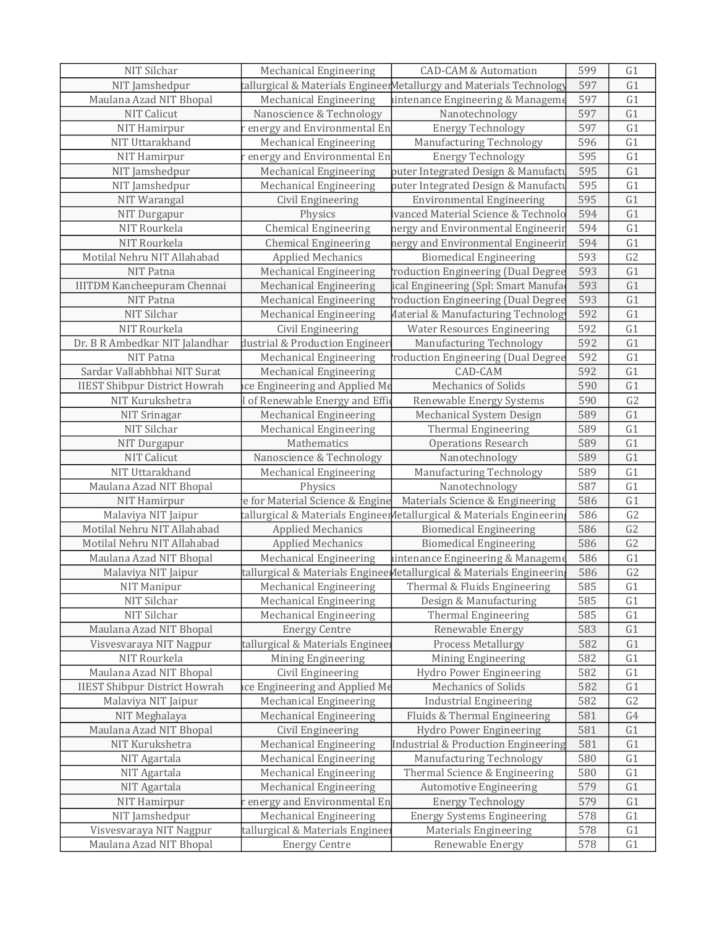| NIT Silchar                          | Mechanical Engineering           | <b>CAD-CAM &amp; Automation</b>                                       | 599 | G1             |
|--------------------------------------|----------------------------------|-----------------------------------------------------------------------|-----|----------------|
| NIT Jamshedpur                       |                                  | tallurgical & Materials EngineerMetallurgy and Materials Technology   | 597 | G1             |
| Maulana Azad NIT Bhopal              | Mechanical Engineering           | aintenance Engineering & Manageme                                     | 597 | G1             |
| NIT Calicut                          | Nanoscience & Technology         | Nanotechnology                                                        | 597 | G1             |
| NIT Hamirpur                         | energy and Environmental En      | <b>Energy Technology</b>                                              | 597 | G1             |
| NIT Uttarakhand                      | Mechanical Engineering           | Manufacturing Technology                                              | 596 | G1             |
| NIT Hamirpur                         | energy and Environmental En      | <b>Energy Technology</b>                                              | 595 | G1             |
| NIT Jamshedpur                       | Mechanical Engineering           | puter Integrated Design & Manufacti                                   | 595 | G1             |
| NIT Jamshedpur                       | Mechanical Engineering           | puter Integrated Design & Manufacti                                   | 595 | G1             |
| NIT Warangal                         | Civil Engineering                | <b>Environmental Engineering</b>                                      | 595 | G1             |
| NIT Durgapur                         | Physics                          | <b>Vanced Material Science &amp; Technolo</b>                         | 594 | G1             |
| NIT Rourkela                         | <b>Chemical Engineering</b>      | nergy and Environmental Engineerir                                    | 594 | G1             |
| NIT Rourkela                         | <b>Chemical Engineering</b>      | nergy and Environmental Engineerii                                    | 594 | G1             |
| Motilal Nehru NIT Allahabad          | <b>Applied Mechanics</b>         | <b>Biomedical Engineering</b>                                         | 593 | G <sub>2</sub> |
| NIT Patna                            | <b>Mechanical Engineering</b>    | roduction Engineering (Dual Degree                                    | 593 | G1             |
| <b>IIITDM Kancheepuram Chennai</b>   | <b>Mechanical Engineering</b>    | ical Engineering (Spl: Smart Manufa                                   | 593 | G1             |
| NIT Patna                            | <b>Mechanical Engineering</b>    | roduction Engineering (Dual Degree                                    | 593 | G1             |
| NIT Silchar                          | Mechanical Engineering           | Aaterial & Manufacturing Technolog                                    | 592 | G1             |
| NIT Rourkela                         | Civil Engineering                | <b>Water Resources Engineering</b>                                    | 592 | G1             |
| Dr. B R Ambedkar NIT Jalandhar       | dustrial & Production Engineer   | Manufacturing Technology                                              | 592 | G1             |
| NIT Patna                            | <b>Mechanical Engineering</b>    | roduction Engineering (Dual Degree                                    | 592 | G1             |
| Sardar Vallabhbhai NIT Surat         | Mechanical Engineering           | CAD-CAM                                                               | 592 | G1             |
| <b>IIEST Shibpur District Howrah</b> | ice Engineering and Applied Me   | Mechanics of Solids                                                   | 590 | G1             |
| NIT Kurukshetra                      | of Renewable Energy and Effic    | Renewable Energy Systems                                              | 590 | G <sub>2</sub> |
| NIT Srinagar                         | Mechanical Engineering           | Mechanical System Design                                              | 589 | G1             |
| NIT Silchar                          | Mechanical Engineering           | Thermal Engineering                                                   | 589 | G1             |
| NIT Durgapur                         | Mathematics                      | <b>Operations Research</b>                                            | 589 | G1             |
| NIT Calicut                          | Nanoscience & Technology         | Nanotechnology                                                        | 589 | G1             |
| NIT Uttarakhand                      | <b>Mechanical Engineering</b>    | Manufacturing Technology                                              | 589 | G1             |
| Maulana Azad NIT Bhopal              | Physics                          | Nanotechnology                                                        | 587 | G1             |
| NIT Hamirpur                         | e for Material Science & Engine  | Materials Science & Engineering                                       | 586 | G1             |
| Malaviya NIT Jaipur                  |                                  | tallurgical & Materials Engineer Metallurgical & Materials Engineerin | 586 | G2             |
| Motilal Nehru NIT Allahabad          | <b>Applied Mechanics</b>         | <b>Biomedical Engineering</b>                                         | 586 | G2             |
| Motilal Nehru NIT Allahabad          | <b>Applied Mechanics</b>         | <b>Biomedical Engineering</b>                                         | 586 | G2             |
| Maulana Azad NIT Bhopal              | Mechanical Engineering           | aintenance Engineering & Manageme                                     | 586 | G1             |
| Malaviya NIT Jaipur                  |                                  | tallurgical & Materials Enginee Metallurgical & Materials Engineerin  | 586 | G <sub>2</sub> |
| NIT Manipur                          | Mechanical Engineering           | Thermal & Fluids Engineering                                          | 585 | G1             |
| NIT Silchar                          | Mechanical Engineering           | Design & Manufacturing                                                | 585 | G1             |
| NIT Silchar                          | Mechanical Engineering           | Thermal Engineering                                                   | 585 | G1             |
| Maulana Azad NIT Bhopal              | <b>Energy Centre</b>             | Renewable Energy                                                      | 583 | G1             |
| Visvesvaraya NIT Nagpur              | tallurgical & Materials Enginee  | Process Metallurgy                                                    | 582 | G1             |
| NIT Rourkela                         | Mining Engineering               | Mining Engineering                                                    | 582 | G1             |
| Maulana Azad NIT Bhopal              | Civil Engineering                | Hydro Power Engineering                                               | 582 | G1             |
| <b>IIEST Shibpur District Howrah</b> | ace Engineering and Applied Me   | Mechanics of Solids                                                   | 582 | G1             |
| Malaviya NIT Jaipur                  | Mechanical Engineering           | <b>Industrial Engineering</b>                                         | 582 | G <sub>2</sub> |
| NIT Meghalaya                        | Mechanical Engineering           | Fluids & Thermal Engineering                                          | 581 | G4             |
| Maulana Azad NIT Bhopal              | Civil Engineering                | Hydro Power Engineering                                               | 581 | G1             |
| NIT Kurukshetra                      | Mechanical Engineering           | Industrial & Production Engineering                                   | 581 | G1             |
| NIT Agartala                         | Mechanical Engineering           | Manufacturing Technology                                              | 580 | G1             |
| NIT Agartala                         | Mechanical Engineering           | Thermal Science & Engineering                                         | 580 | G1             |
| NIT Agartala                         | Mechanical Engineering           | Automotive Engineering                                                | 579 | G1             |
| NIT Hamirpur                         | energy and Environmental En      | <b>Energy Technology</b>                                              | 579 | G1             |
| NIT Jamshedpur                       | Mechanical Engineering           | <b>Energy Systems Engineering</b>                                     | 578 | G <sub>1</sub> |
| Visvesvaraya NIT Nagpur              | tallurgical & Materials Engineer | <b>Materials Engineering</b>                                          | 578 | G1             |
| Maulana Azad NIT Bhopal              | <b>Energy Centre</b>             | Renewable Energy                                                      | 578 | G1             |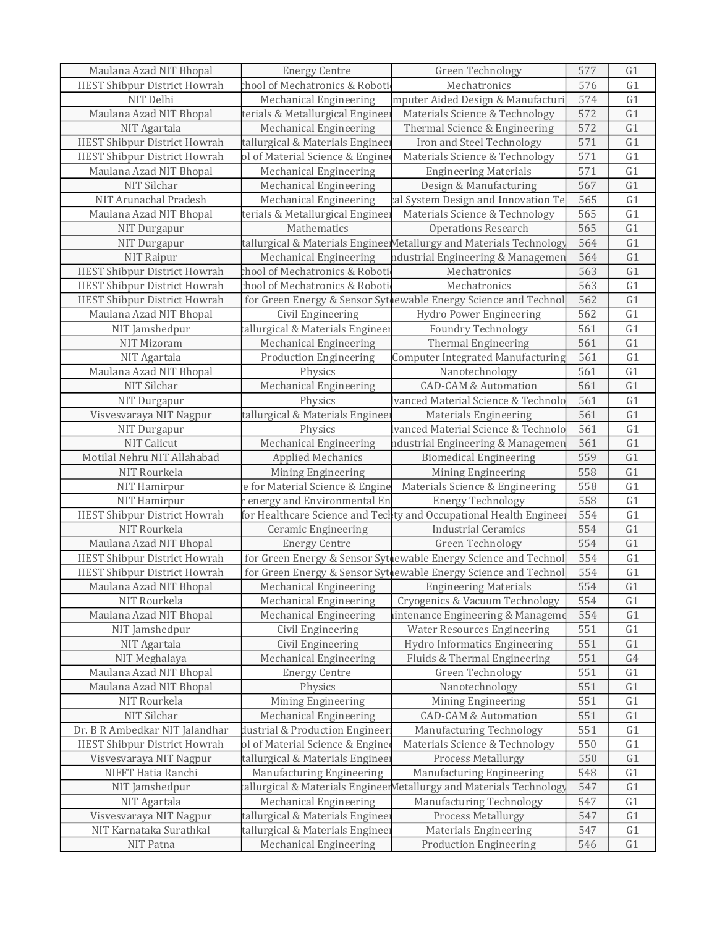| Maulana Azad NIT Bhopal              | <b>Energy Centre</b>             | Green Technology                                                    | 577 | G1             |
|--------------------------------------|----------------------------------|---------------------------------------------------------------------|-----|----------------|
| <b>IIEST Shibpur District Howrah</b> | chool of Mechatronics & Roboti   | Mechatronics                                                        | 576 | G1             |
| NIT Delhi                            | Mechanical Engineering           | mputer Aided Design & Manufacturi                                   | 574 | G1             |
| Maulana Azad NIT Bhopal              | terials & Metallurgical Enginee: | Materials Science & Technology                                      | 572 | G1             |
| NIT Agartala                         | <b>Mechanical Engineering</b>    | Thermal Science & Engineering                                       | 572 | G1             |
| <b>IIEST Shibpur District Howrah</b> | tallurgical & Materials Engineer | Iron and Steel Technology                                           | 571 | G1             |
| <b>IIEST Shibpur District Howrah</b> | ol of Material Science & Engine  | Materials Science & Technology                                      | 571 | G1             |
| Maulana Azad NIT Bhopal              | Mechanical Engineering           | <b>Engineering Materials</b>                                        | 571 | G1             |
| NIT Silchar                          | <b>Mechanical Engineering</b>    | Design & Manufacturing                                              | 567 | G1             |
| NIT Arunachal Pradesh                | <b>Mechanical Engineering</b>    | cal System Design and Innovation Te                                 | 565 | G1             |
| Maulana Azad NIT Bhopal              | terials & Metallurgical Engineer | Materials Science & Technology                                      | 565 | G1             |
| NIT Durgapur                         | Mathematics                      | <b>Operations Research</b>                                          | 565 | G1             |
| NIT Durgapur                         |                                  | tallurgical & Materials EngineerMetallurgy and Materials Technology | 564 | G1             |
| NIT Raipur                           | Mechanical Engineering           | ndustrial Engineering & Managemer                                   | 564 | G1             |
| <b>IIEST Shibpur District Howrah</b> | chool of Mechatronics & Roboti   | Mechatronics                                                        | 563 | G1             |
| <b>IIEST Shibpur District Howrah</b> | chool of Mechatronics & Roboti   | Mechatronics                                                        | 563 | G1             |
| <b>IIEST Shibpur District Howrah</b> |                                  | for Green Energy & Sensor Sythewable Energy Science and Technol     | 562 | G1             |
| Maulana Azad NIT Bhopal              | Civil Engineering                | Hydro Power Engineering                                             | 562 | G1             |
| NIT Jamshedpur                       | tallurgical & Materials Engineer | Foundry Technology                                                  | 561 | G1             |
| NIT Mizoram                          | <b>Mechanical Engineering</b>    | <b>Thermal Engineering</b>                                          | 561 | G1             |
| NIT Agartala                         | <b>Production Engineering</b>    | Computer Integrated Manufacturing                                   | 561 | G1             |
| Maulana Azad NIT Bhopal              | Physics                          | Nanotechnology                                                      | 561 | G1             |
| NIT Silchar                          | Mechanical Engineering           | <b>CAD-CAM &amp; Automation</b>                                     | 561 | G1             |
| NIT Durgapur                         | Physics                          | vanced Material Science & Technolo                                  | 561 | G1             |
| Visvesvaraya NIT Nagpur              | tallurgical & Materials Enginee: | <b>Materials Engineering</b>                                        | 561 | G1             |
| NIT Durgapur                         | Physics                          | vanced Material Science & Technolo                                  | 561 | G1             |
| NIT Calicut                          | Mechanical Engineering           | ndustrial Engineering & Managemen                                   | 561 | G1             |
| Motilal Nehru NIT Allahabad          | <b>Applied Mechanics</b>         | <b>Biomedical Engineering</b>                                       | 559 | G1             |
| NIT Rourkela                         | Mining Engineering               | Mining Engineering                                                  | 558 | G1             |
| NIT Hamirpur                         | e for Material Science & Engine  | Materials Science & Engineering                                     | 558 | G1             |
| NIT Hamirpur                         | energy and Environmental En      | <b>Energy Technology</b>                                            | 558 | G1             |
| <b>IIEST Shibpur District Howrah</b> |                                  | for Healthcare Science and Techty and Occupational Health Enginee   | 554 | G1             |
| NIT Rourkela                         | <b>Ceramic Engineering</b>       | <b>Industrial Ceramics</b>                                          | 554 | G1             |
| Maulana Azad NIT Bhopal              | <b>Energy Centre</b>             | Green Technology                                                    | 554 | G1             |
| <b>IIEST Shibpur District Howrah</b> |                                  | for Green Energy & Sensor Sythewable Energy Science and Technol     | 554 | G1             |
| <b>IIEST Shibpur District Howrah</b> |                                  | for Green Energy & Sensor Sythewable Energy Science and Technol     | 554 | G1             |
| Maulana Azad NIT Bhopal              |                                  | Mechanical Engineering   Engineering Materials                      | 554 | G1             |
| NIT Rourkela                         | <b>Mechanical Engineering</b>    | Cryogenics & Vacuum Technology                                      | 554 | G1             |
| Maulana Azad NIT Bhopal              | Mechanical Engineering           | aintenance Engineering & Manageme                                   | 554 | G1             |
| NIT Jamshedpur                       | Civil Engineering                | <b>Water Resources Engineering</b>                                  | 551 | G1             |
| NIT Agartala                         | Civil Engineering                | Hydro Informatics Engineering                                       | 551 | G1             |
| NIT Meghalaya                        | <b>Mechanical Engineering</b>    | Fluids & Thermal Engineering                                        | 551 | G4             |
| Maulana Azad NIT Bhopal              | <b>Energy Centre</b>             | Green Technology                                                    | 551 | G1             |
| Maulana Azad NIT Bhopal              | Physics                          | Nanotechnology                                                      | 551 | G1             |
| NIT Rourkela                         | Mining Engineering               | Mining Engineering                                                  | 551 | G1             |
| NIT Silchar                          | Mechanical Engineering           | <b>CAD-CAM &amp; Automation</b>                                     | 551 | G1             |
| Dr. B R Ambedkar NIT Jalandhar       | dustrial & Production Engineer   | Manufacturing Technology                                            | 551 | G1             |
| <b>IIEST Shibpur District Howrah</b> | ol of Material Science & Engine  | Materials Science & Technology                                      | 550 | G1             |
| Visvesvaraya NIT Nagpur              | tallurgical & Materials Engineer | Process Metallurgy                                                  | 550 | G1             |
| NIFFT Hatia Ranchi                   | Manufacturing Engineering        | Manufacturing Engineering                                           | 548 | G <sub>1</sub> |
| NIT Jamshedpur                       |                                  | tallurgical & Materials EngineerMetallurgy and Materials Technology | 547 | G1             |
| NIT Agartala                         | <b>Mechanical Engineering</b>    | Manufacturing Technology                                            | 547 | G1             |
| Visvesvaraya NIT Nagpur              | tallurgical & Materials Engineer | Process Metallurgy                                                  | 547 | G1             |
| NIT Karnataka Surathkal              | tallurgical & Materials Engineer | <b>Materials Engineering</b>                                        | 547 | G1             |
| NIT Patna                            | <b>Mechanical Engineering</b>    | <b>Production Engineering</b>                                       | 546 | G1             |
|                                      |                                  |                                                                     |     |                |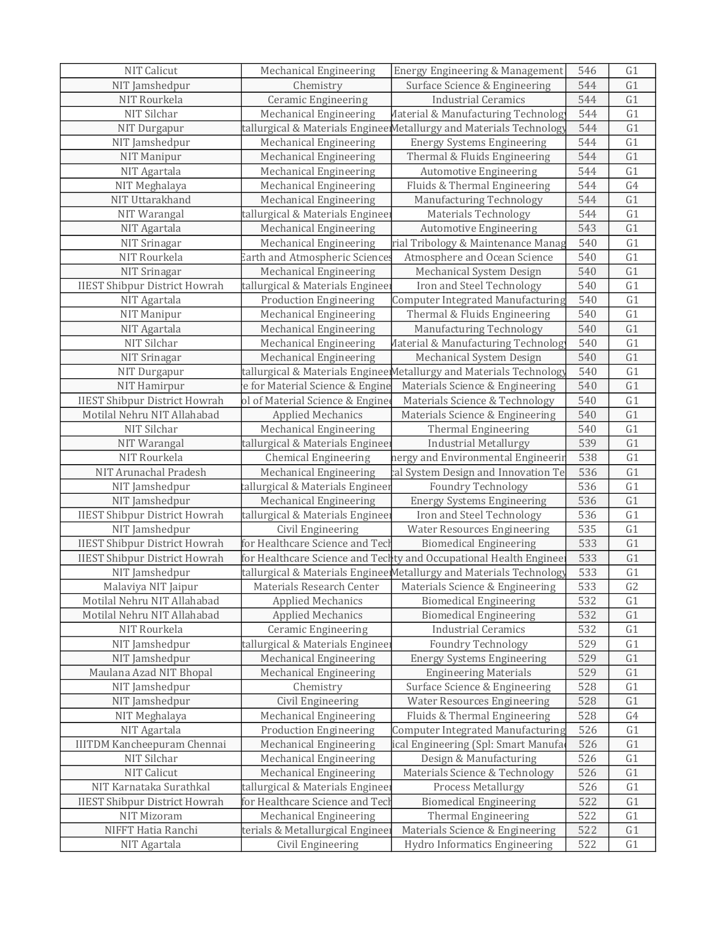| NIT Calicut                          | <b>Mechanical Engineering</b>         | Energy Engineering & Management                                     | 546 | G1             |
|--------------------------------------|---------------------------------------|---------------------------------------------------------------------|-----|----------------|
| NIT Jamshedpur                       | Chemistry                             | Surface Science & Engineering                                       | 544 | G1             |
| NIT Rourkela                         | <b>Ceramic Engineering</b>            | <b>Industrial Ceramics</b>                                          | 544 | G1             |
| NIT Silchar                          | Mechanical Engineering                | Material & Manufacturing Technolog                                  | 544 | G1             |
| NIT Durgapur                         |                                       | tallurgical & Materials EngineerMetallurgy and Materials Technology | 544 | G1             |
| NIT Jamshedpur                       | Mechanical Engineering                | <b>Energy Systems Engineering</b>                                   | 544 | G1             |
| NIT Manipur                          | Mechanical Engineering                | Thermal & Fluids Engineering                                        | 544 | G1             |
| NIT Agartala                         | Mechanical Engineering                | <b>Automotive Engineering</b>                                       | 544 | G1             |
| NIT Meghalaya                        | Mechanical Engineering                | Fluids & Thermal Engineering                                        | 544 | G4             |
| NIT Uttarakhand                      | <b>Mechanical Engineering</b>         | Manufacturing Technology                                            | 544 | G1             |
| NIT Warangal                         | tallurgical & Materials Engineer      | <b>Materials Technology</b>                                         | 544 | G1             |
| NIT Agartala                         | Mechanical Engineering                | <b>Automotive Engineering</b>                                       | 543 | G1             |
| NIT Srinagar                         | Mechanical Engineering                | rial Tribology & Maintenance Manag                                  | 540 | G1             |
| NIT Rourkela                         | <b>Earth and Atmospheric Sciences</b> | Atmosphere and Ocean Science                                        | 540 | G1             |
| NIT Srinagar                         | Mechanical Engineering                | Mechanical System Design                                            | 540 | G1             |
| <b>IIEST Shibpur District Howrah</b> | tallurgical & Materials Engineer      | Iron and Steel Technology                                           | 540 | G1             |
| NIT Agartala                         | <b>Production Engineering</b>         | <b>Computer Integrated Manufacturing</b>                            | 540 | G1             |
| NIT Manipur                          | Mechanical Engineering                | Thermal & Fluids Engineering                                        | 540 | G1             |
| NIT Agartala                         | <b>Mechanical Engineering</b>         | Manufacturing Technology                                            | 540 | G1             |
| NIT Silchar                          | Mechanical Engineering                | Aaterial & Manufacturing Technolog                                  | 540 | G1             |
| NIT Srinagar                         | Mechanical Engineering                | Mechanical System Design                                            | 540 | G1             |
| NIT Durgapur                         |                                       | tallurgical & Materials EngineerMetallurgy and Materials Technology | 540 | G1             |
| NIT Hamirpur                         | e for Material Science & Engine       | Materials Science & Engineering                                     | 540 | G1             |
| <b>IIEST Shibpur District Howrah</b> | ol of Material Science & Engine       | Materials Science & Technology                                      | 540 | G1             |
| Motilal Nehru NIT Allahabad          | <b>Applied Mechanics</b>              | Materials Science & Engineering                                     | 540 | G1             |
| NIT Silchar                          | Mechanical Engineering                | Thermal Engineering                                                 | 540 | G1             |
| NIT Warangal                         | tallurgical & Materials Engineer      | <b>Industrial Metallurgy</b>                                        | 539 | G1             |
| NIT Rourkela                         | <b>Chemical Engineering</b>           | nergy and Environmental Engineerir                                  | 538 | G1             |
| NIT Arunachal Pradesh                | Mechanical Engineering                | cal System Design and Innovation Te                                 | 536 | G1             |
| NIT Jamshedpur                       | tallurgical & Materials Engineer      | <b>Foundry Technology</b>                                           | 536 | G1             |
| NIT Jamshedpur                       | <b>Mechanical Engineering</b>         | <b>Energy Systems Engineering</b>                                   | 536 | G1             |
| <b>IIEST Shibpur District Howrah</b> | tallurgical & Materials Engineer      | Iron and Steel Technology                                           | 536 | G1             |
| NIT Jamshedpur                       | Civil Engineering                     | <b>Water Resources Engineering</b>                                  | 535 | G1             |
| <b>IIEST Shibpur District Howrah</b> | for Healthcare Science and Tecl       | <b>Biomedical Engineering</b>                                       | 533 | G1             |
| <b>IIEST Shibpur District Howrah</b> |                                       | for Healthcare Science and Techty and Occupational Health Enginee   | 533 | G1             |
| NIT Jamshedpur                       |                                       | tallurgical & Materials EngineerMetallurgy and Materials Technology | 533 | G1             |
| Malaviya NIT Jaipur                  |                                       | Materials Research Center   Materials Science & Engineering         | 533 | G <sub>2</sub> |
| Motilal Nehru NIT Allahabad          | <b>Applied Mechanics</b>              | <b>Biomedical Engineering</b>                                       | 532 | G1             |
| Motilal Nehru NIT Allahabad          | <b>Applied Mechanics</b>              | <b>Biomedical Engineering</b>                                       | 532 | G <sub>1</sub> |
| NIT Rourkela                         | Ceramic Engineering                   | <b>Industrial Ceramics</b>                                          | 532 | G1             |
| NIT Jamshedpur                       | tallurgical & Materials Engineer      | <b>Foundry Technology</b>                                           | 529 | G1             |
| NIT Jamshedpur                       | <b>Mechanical Engineering</b>         | <b>Energy Systems Engineering</b>                                   | 529 | G1             |
| Maulana Azad NIT Bhopal              | Mechanical Engineering                | <b>Engineering Materials</b>                                        | 529 | G1             |
| NIT Jamshedpur                       | Chemistry                             | Surface Science & Engineering                                       | 528 | G1             |
| NIT Jamshedpur                       | Civil Engineering                     | <b>Water Resources Engineering</b>                                  | 528 | G1             |
| NIT Meghalaya                        | Mechanical Engineering                | Fluids & Thermal Engineering                                        | 528 | G <sub>4</sub> |
| NIT Agartala                         | <b>Production Engineering</b>         | <b>Computer Integrated Manufacturing</b>                            | 526 | G1             |
| <b>IIITDM Kancheepuram Chennai</b>   | Mechanical Engineering                | ical Engineering (Spl: Smart Manufa                                 | 526 | G1             |
| NIT Silchar                          | Mechanical Engineering                | Design & Manufacturing                                              | 526 | G1             |
| NIT Calicut                          | Mechanical Engineering                | Materials Science & Technology                                      | 526 | G1             |
| NIT Karnataka Surathkal              | tallurgical & Materials Engineer      | Process Metallurgy                                                  | 526 | G1             |
| <b>IIEST Shibpur District Howrah</b> | for Healthcare Science and Tech       | <b>Biomedical Engineering</b>                                       | 522 | G1             |
| NIT Mizoram                          | Mechanical Engineering                | <b>Thermal Engineering</b>                                          | 522 | G1             |
| NIFFT Hatia Ranchi                   | terials & Metallurgical Engineer      | Materials Science & Engineering                                     | 522 | G1             |
| NIT Agartala                         | Civil Engineering                     | Hydro Informatics Engineering                                       | 522 | G1             |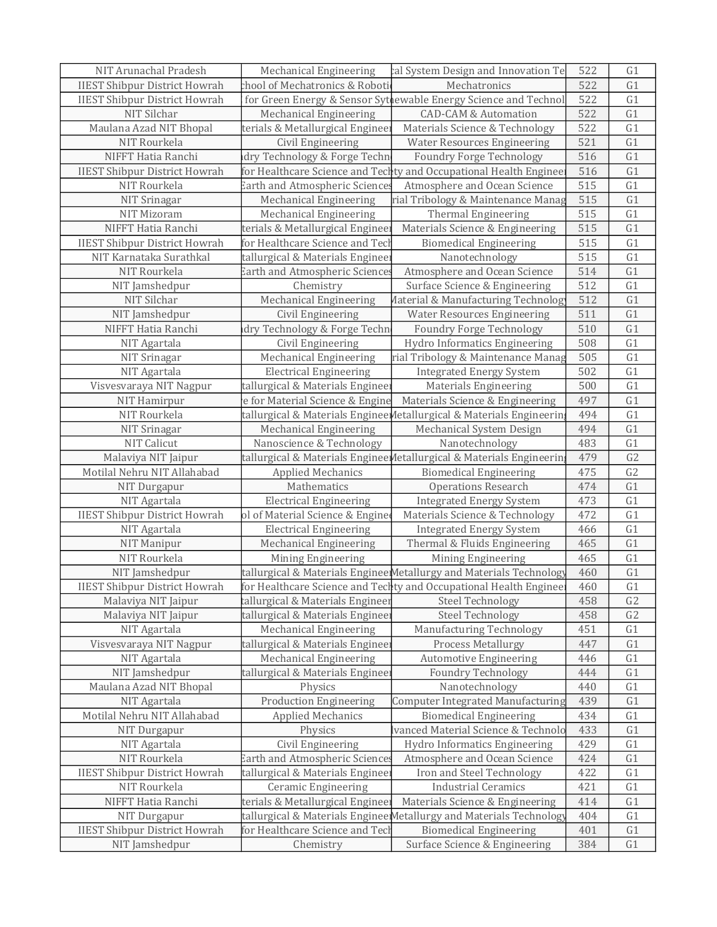| NIT Arunachal Pradesh                | <b>Mechanical Engineering</b>         | cal System Design and Innovation Te                                  | 522 | G <sub>1</sub> |
|--------------------------------------|---------------------------------------|----------------------------------------------------------------------|-----|----------------|
| <b>IIEST Shibpur District Howrah</b> | chool of Mechatronics & Roboti        | Mechatronics                                                         | 522 | G1             |
| <b>IIEST Shibpur District Howrah</b> |                                       | for Green Energy & Sensor Sythewable Energy Science and Technol      | 522 | G1             |
| NIT Silchar                          | Mechanical Engineering                | <b>CAD-CAM &amp; Automation</b>                                      | 522 | G1             |
| Maulana Azad NIT Bhopal              | terials & Metallurgical Enginee       | Materials Science & Technology                                       | 522 | G1             |
| NIT Rourkela                         | Civil Engineering                     | <b>Water Resources Engineering</b>                                   | 521 | G1             |
| NIFFT Hatia Ranchi                   | dry Technology & Forge Techn          | <b>Foundry Forge Technology</b>                                      | 516 | G1             |
| <b>IIEST Shibpur District Howrah</b> |                                       | for Healthcare Science and Techty and Occupational Health Enginee    | 516 | G1             |
| NIT Rourkela                         | Earth and Atmospheric Sciences        | Atmosphere and Ocean Science                                         | 515 | G1             |
| NIT Srinagar                         | Mechanical Engineering                | rial Tribology & Maintenance Manag                                   | 515 | G1             |
| NIT Mizoram                          | Mechanical Engineering                | Thermal Engineering                                                  | 515 | G1             |
| NIFFT Hatia Ranchi                   | terials & Metallurgical Enginee:      | Materials Science & Engineering                                      | 515 | G1             |
| <b>IIEST Shibpur District Howrah</b> | for Healthcare Science and Tech       | <b>Biomedical Engineering</b>                                        | 515 | G1             |
| NIT Karnataka Surathkal              | tallurgical & Materials Enginee       | Nanotechnology                                                       | 515 | G1             |
| NIT Rourkela                         | Earth and Atmospheric Science         | Atmosphere and Ocean Science                                         | 514 | G1             |
| NIT Jamshedpur                       | Chemistry                             | Surface Science & Engineering                                        | 512 | G1             |
| NIT Silchar                          | Mechanical Engineering                | Aaterial & Manufacturing Technolog                                   | 512 | G1             |
| NIT Jamshedpur                       | Civil Engineering                     | <b>Water Resources Engineering</b>                                   | 511 | G1             |
| NIFFT Hatia Ranchi                   | dry Technology & Forge Techn          | <b>Foundry Forge Technology</b>                                      | 510 | G1             |
| NIT Agartala                         | Civil Engineering                     | Hydro Informatics Engineering                                        | 508 | G1             |
| NIT Srinagar                         | Mechanical Engineering                | rial Tribology & Maintenance Manag                                   | 505 | G1             |
| NIT Agartala                         | <b>Electrical Engineering</b>         | <b>Integrated Energy System</b>                                      | 502 | G1             |
| Visvesvaraya NIT Nagpur              | tallurgical & Materials Engineer      | <b>Materials Engineering</b>                                         | 500 | G1             |
| NIT Hamirpur                         | e for Material Science & Engine       | Materials Science & Engineering                                      | 497 | G1             |
| NIT Rourkela                         |                                       | tallurgical & Materials Enginee Metallurgical & Materials Engineerin | 494 | G1             |
| NIT Srinagar                         | Mechanical Engineering                | Mechanical System Design                                             | 494 | G1             |
| NIT Calicut                          | Nanoscience & Technology              | Nanotechnology                                                       | 483 | G1             |
| Malaviya NIT Jaipur                  |                                       | tallurgical & Materials EngineeMetallurgical & Materials Engineerin  | 479 | G <sub>2</sub> |
| Motilal Nehru NIT Allahabad          | <b>Applied Mechanics</b>              | <b>Biomedical Engineering</b>                                        | 475 | G <sub>2</sub> |
| NIT Durgapur                         | Mathematics                           | <b>Operations Research</b>                                           | 474 | G1             |
| NIT Agartala                         | <b>Electrical Engineering</b>         | <b>Integrated Energy System</b>                                      | 473 | G1             |
| <b>IIEST Shibpur District Howrah</b> | ol of Material Science & Engine       | Materials Science & Technology                                       | 472 | G1             |
| NIT Agartala                         | <b>Electrical Engineering</b>         | <b>Integrated Energy System</b>                                      | 466 | G1             |
| NIT Manipur                          | Mechanical Engineering                | Thermal & Fluids Engineering                                         | 465 | G1             |
| NIT Rourkela                         | Mining Engineering                    | Mining Engineering                                                   | 465 | G1             |
| NIT Jamshedpur                       |                                       | tallurgical & Materials EngineerMetallurgy and Materials Technology  | 460 | G1             |
| <b>IIEST Shibpur District Howrah</b> |                                       | for Healthcare Science and Techty and Occupational Health Enginee    | 460 | G1             |
| Malaviya NIT Jaipur                  | tallurgical & Materials Engineer      | Steel Technology                                                     | 458 | G <sub>2</sub> |
| Malaviya NIT Jaipur                  | tallurgical & Materials Enginee:      | <b>Steel Technology</b>                                              | 458 | G <sub>2</sub> |
| NIT Agartala                         | <b>Mechanical Engineering</b>         | Manufacturing Technology                                             | 451 | G1             |
| Visvesvaraya NIT Nagpur              | tallurgical & Materials Enginee:      | Process Metallurgy                                                   | 447 | G1             |
| NIT Agartala                         | <b>Mechanical Engineering</b>         | <b>Automotive Engineering</b>                                        | 446 | G1             |
| NIT Jamshedpur                       | tallurgical & Materials Enginee       | <b>Foundry Technology</b>                                            | 444 | G1             |
| Maulana Azad NIT Bhopal              | Physics                               | Nanotechnology                                                       | 440 | G1             |
| NIT Agartala                         | <b>Production Engineering</b>         | Computer Integrated Manufacturing                                    | 439 | G1             |
| Motilal Nehru NIT Allahabad          | <b>Applied Mechanics</b>              | <b>Biomedical Engineering</b>                                        | 434 | G1             |
| NIT Durgapur                         | Physics                               | vanced Material Science & Technolo                                   | 433 | G1             |
| NIT Agartala                         | Civil Engineering                     | Hydro Informatics Engineering                                        | 429 | G1             |
| NIT Rourkela                         | <b>Earth and Atmospheric Sciences</b> | Atmosphere and Ocean Science                                         | 424 | G1             |
| <b>IIEST Shibpur District Howrah</b> | tallurgical & Materials Enginee:      | Iron and Steel Technology                                            | 422 | G1             |
| NIT Rourkela                         | <b>Ceramic Engineering</b>            | <b>Industrial Ceramics</b>                                           | 421 | G1             |
| NIFFT Hatia Ranchi                   | terials & Metallurgical Enginee       | Materials Science & Engineering                                      | 414 | G1             |
| NIT Durgapur                         |                                       | tallurgical & Materials Enginee Metallurgy and Materials Technology  | 404 | G1             |
| <b>IIEST Shibpur District Howrah</b> | for Healthcare Science and Tecl       | <b>Biomedical Engineering</b>                                        | 401 | G1             |
| NIT Jamshedpur                       | Chemistry                             | Surface Science & Engineering                                        | 384 | G1             |